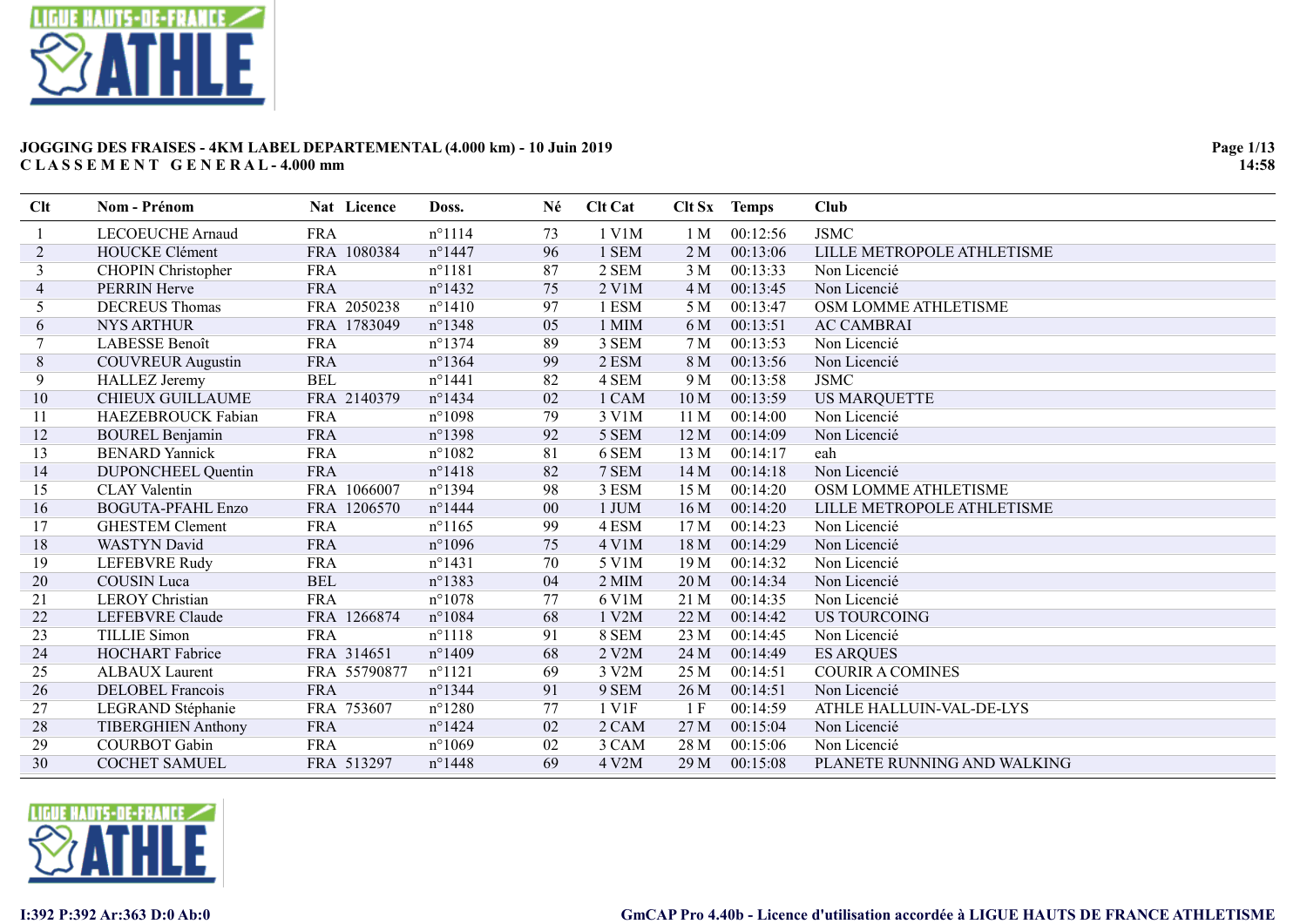

| Clt | <b>Nom - Prénom</b>       | Nat Licence  | Doss.            | Né | <b>Clt Cat</b>       | Clt Sx          | <b>Temps</b> | <b>Club</b>                 |
|-----|---------------------------|--------------|------------------|----|----------------------|-----------------|--------------|-----------------------------|
|     | LECOEUCHE Arnaud          | <b>FRA</b>   | $n^{\circ}1114$  | 73 | 1 V1M                | 1 M             | 00:12:56     | <b>JSMC</b>                 |
| 2   | <b>HOUCKE Clément</b>     | FRA 1080384  | $n^{\circ}$ 1447 | 96 | 1 SEM                | 2 <sub>M</sub>  | 00:13:06     | LILLE METROPOLE ATHLETISME  |
| 3   | <b>CHOPIN Christopher</b> | <b>FRA</b>   | $n^{\circ}1181$  | 87 | 2 SEM                | 3 <sub>M</sub>  | 00:13:33     | Non Licencié                |
| 4   | <b>PERRIN Herve</b>       | <b>FRA</b>   | $n^{\circ}$ 1432 | 75 | $2$ V <sub>1</sub> M | 4 M             | 00:13:45     | Non Licencié                |
| 5   | <b>DECREUS Thomas</b>     | FRA 2050238  | $n^{\circ}1410$  | 97 | 1 ESM                | 5 M             | 00:13:47     | OSM LOMME ATHLETISME        |
| 6   | <b>NYS ARTHUR</b>         | FRA 1783049  | $n^{\circ}$ 1348 | 05 | 1 MIM                | 6 M             | 00:13:51     | <b>AC CAMBRAI</b>           |
|     | LABESSE Benoît            | <b>FRA</b>   | $n^{\circ}$ 1374 | 89 | 3 SEM                | 7 <sub>M</sub>  | 00:13:53     | Non Licencié                |
| 8   | <b>COUVREUR Augustin</b>  | <b>FRA</b>   | $n^{\circ}$ 1364 | 99 | 2 ESM                | 8 M             | 00:13:56     | Non Licencié                |
| 9   | <b>HALLEZ</b> Jeremy      | <b>BEL</b>   | $n^{\circ}1441$  | 82 | 4 SEM                | 9 M             | 00:13:58     | <b>JSMC</b>                 |
| 10  | CHIEUX GUILLAUME          | FRA 2140379  | $n^{\circ}$ 1434 | 02 | 1 CAM                | 10 <sub>M</sub> | 00:13:59     | <b>US MARQUETTE</b>         |
| 11  | HAEZEBROUCK Fabian        | <b>FRA</b>   | $n^{\circ}1098$  | 79 | 3 V1M                | 11 <sub>M</sub> | 00:14:00     | Non Licencié                |
| 12  | <b>BOUREL Benjamin</b>    | <b>FRA</b>   | $n^{\circ}$ 1398 | 92 | 5 SEM                | 12 M            | 00:14:09     | Non Licencié                |
| 13  | <b>BENARD</b> Yannick     | <b>FRA</b>   | $n^{\circ}1082$  | 81 | 6 SEM                | 13 M            | 00:14:17     | eah                         |
| 14  | <b>DUPONCHEEL Quentin</b> | <b>FRA</b>   | $n^{\circ}1418$  | 82 | 7 SEM                | 14 M            | 00:14:18     | Non Licencié                |
| 15  | <b>CLAY Valentin</b>      | FRA 1066007  | n°1394           | 98 | 3 ESM                | 15 M            | 00:14:20     | OSM LOMME ATHLETISME        |
| 16  | <b>BOGUTA-PFAHL Enzo</b>  | FRA 1206570  | $n^{\circ}$ 1444 | 00 | 1 JUM                | 16 M            | 00:14:20     | LILLE METROPOLE ATHLETISME  |
| 17  | <b>GHESTEM Clement</b>    | <b>FRA</b>   | $n^{\circ}1165$  | 99 | 4 ESM                | 17 M            | 00:14:23     | Non Licencié                |
| 18  | <b>WASTYN</b> David       | <b>FRA</b>   | $n^{\circ}1096$  | 75 | 4 V1M                | 18 M            | 00:14:29     | Non Licencié                |
| 19  | <b>LEFEBVRE Rudy</b>      | <b>FRA</b>   | $n^{\circ}1431$  | 70 | 5 V1M                | 19 M            | 00:14:32     | Non Licencié                |
| 20  | <b>COUSIN</b> Luca        | <b>BEL</b>   | $n^{\circ}$ 1383 | 04 | 2 MIM                | 20 M            | 00:14:34     | Non Licencié                |
| 21  | <b>LEROY</b> Christian    | <b>FRA</b>   | $n^{\circ}1078$  | 77 | 6 V1M                | 21 M            | 00:14:35     | Non Licencié                |
| 22  | <b>LEFEBVRE</b> Claude    | FRA 1266874  | $n^{\circ}1084$  | 68 | 1 V2M                | 22 M            | 00:14:42     | <b>US TOURCOING</b>         |
| 23  | <b>TILLIE Simon</b>       | <b>FRA</b>   | $n^{\circ}1118$  | 91 | 8 SEM                | 23 M            | 00:14:45     | Non Licencié                |
| 24  | <b>HOCHART</b> Fabrice    | FRA 314651   | $n^{\circ}$ 1409 | 68 | 2 V2M                | 24 M            | 00:14:49     | <b>ES ARQUES</b>            |
| 25  | ALBAUX Laurent            | FRA 55790877 | $n^{\circ}1121$  | 69 | 3 V2M                | 25 M            | 00:14:51     | <b>COURIR A COMINES</b>     |
| 26  | <b>DELOBEL Francois</b>   | <b>FRA</b>   | $n^{\circ}$ 1344 | 91 | 9 SEM                | 26 M            | 00:14:51     | Non Licencié                |
| 27  | LEGRAND Stéphanie         | FRA 753607   | $n^{\circ}$ 1280 | 77 | 1 V1F                | 1 F             | 00:14:59     | ATHLE HALLUIN-VAL-DE-LYS    |
| 28  | <b>TIBERGHIEN Anthony</b> | <b>FRA</b>   | $n^{\circ}$ 1424 | 02 | 2 CAM                | 27 M            | 00:15:04     | Non Licencié                |
| 29  | <b>COURBOT</b> Gabin      | <b>FRA</b>   | $n^{\circ}1069$  | 02 | 3 CAM                | 28 M            | 00:15:06     | Non Licencié                |
| 30  | <b>COCHET SAMUEL</b>      | FRA 513297   | $n^{\circ}$ 1448 | 69 | 4 V2M                | 29 M            | 00:15:08     | PLANETE RUNNING AND WALKING |
|     |                           |              |                  |    |                      |                 |              |                             |

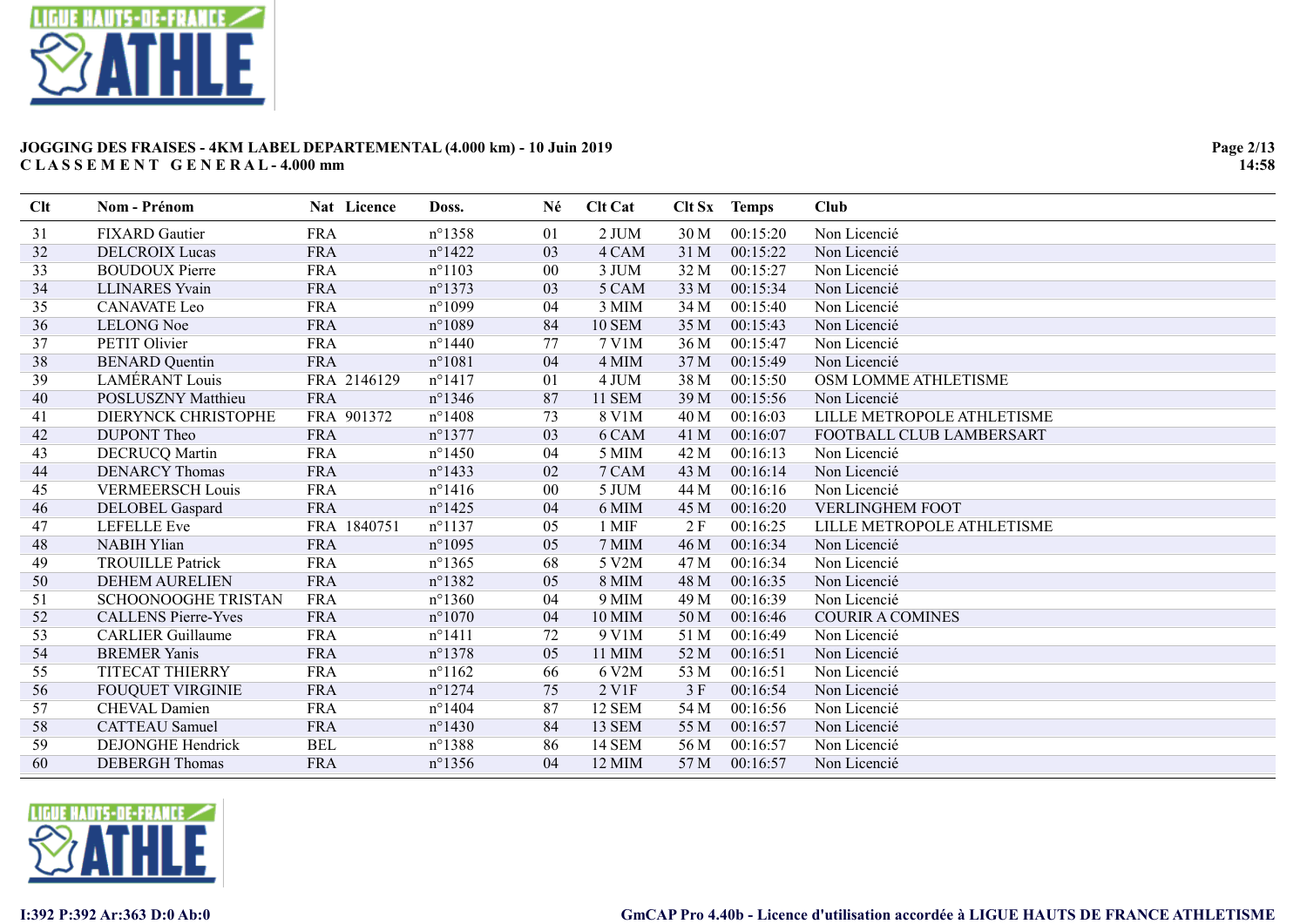

| <b>Clt</b> | Nom - Prénom               | Nat Licence | Doss.            | Né             | <b>Clt Cat</b>         |      | Clt Sx Temps | Club                       |
|------------|----------------------------|-------------|------------------|----------------|------------------------|------|--------------|----------------------------|
| 31         | <b>FIXARD</b> Gautier      | <b>FRA</b>  | $n^{\circ}$ 1358 | 01             | 2 JUM                  | 30 M | 00:15:20     | Non Licencié               |
| 32         | <b>DELCROIX Lucas</b>      | <b>FRA</b>  | $n^{\circ}$ 1422 | 03             | 4 CAM                  | 31 M | 00:15:22     | Non Licencié               |
| 33         | <b>BOUDOUX Pierre</b>      | <b>FRA</b>  | $n^{\circ}1103$  | 0 <sub>0</sub> | 3 JUM                  | 32 M | 00:15:27     | Non Licencié               |
| 34         | <b>LLINARES</b> Yvain      | <b>FRA</b>  | $n^{\circ}$ 1373 | 03             | 5 CAM                  | 33 M | 00:15:34     | Non Licencié               |
| 35         | <b>CANAVATE</b> Leo        | <b>FRA</b>  | $n^{\circ}1099$  | 04             | 3 MIM                  | 34 M | 00:15:40     | Non Licencié               |
| 36         | <b>LELONG</b> Noe          | <b>FRA</b>  | n°1089           | 84             | <b>10 SEM</b>          | 35 M | 00:15:43     | Non Licencié               |
| 37         | PETIT Olivier              | <b>FRA</b>  | $n^{\circ}$ 1440 | 77             | 7 V1M                  | 36 M | 00:15:47     | Non Licencié               |
| 38         | <b>BENARD</b> Quentin      | <b>FRA</b>  | n°1081           | 04             | 4 MIM                  | 37 M | 00:15:49     | Non Licencié               |
| 39         | <b>LAMÉRANT</b> Louis      | FRA 2146129 | $n^{\circ}1417$  | 01             | 4 JUM                  | 38 M | 00:15:50     | OSM LOMME ATHLETISME       |
| 40         | POSLUSZNY Matthieu         | <b>FRA</b>  | $n^{\circ}$ 1346 | 87             | 11 SEM                 | 39 M | 00:15:56     | Non Licencié               |
| 41         | DIERYNCK CHRISTOPHE        | FRA 901372  | $n^{\circ}$ 1408 | 73             | 8 V1M                  | 40 M | 00:16:03     | LILLE METROPOLE ATHLETISME |
| 42         | <b>DUPONT</b> Theo         | <b>FRA</b>  | $n^{\circ}$ 1377 | 03             | 6 CAM                  | 41 M | 00:16:07     | FOOTBALL CLUB LAMBERSART   |
| 43         | <b>DECRUCQ Martin</b>      | <b>FRA</b>  | $n^{\circ}$ 1450 | 04             | 5 MIM                  | 42 M | 00:16:13     | Non Licencié               |
| 44         | <b>DENARCY Thomas</b>      | <b>FRA</b>  | $n^{\circ}$ 1433 | 02             | 7 CAM                  | 43 M | 00:16:14     | Non Licencié               |
| 45         | <b>VERMEERSCH Louis</b>    | <b>FRA</b>  | $n^{\circ}1416$  | 00             | 5 JUM                  | 44 M | 00:16:16     | Non Licencié               |
| 46         | DELOBEL Gaspard            | <b>FRA</b>  | $n^{\circ}$ 1425 | 04             | 6 MIM                  | 45 M | 00:16:20     | <b>VERLINGHEM FOOT</b>     |
| 47         | <b>LEFELLE</b> Eve         | FRA 1840751 | $n^{\circ}1137$  | 05             | 1 MIF                  | 2F   | 00:16:25     | LILLE METROPOLE ATHLETISME |
| 48         | <b>NABIH Ylian</b>         | <b>FRA</b>  | $n^{\circ}1095$  | 05             | 7 MIM                  | 46 M | 00:16:34     | Non Licencié               |
| 49         | <b>TROUILLE Patrick</b>    | <b>FRA</b>  | $n^{\circ}$ 1365 | 68             | 5 V2M                  | 47 M | 00:16:34     | Non Licencié               |
| 50         | <b>DEHEM AURELIEN</b>      | <b>FRA</b>  | $n^{\circ}$ 1382 | 05             | 8 MIM                  | 48 M | 00:16:35     | Non Licencié               |
| 51         | <b>SCHOONOOGHE TRISTAN</b> | <b>FRA</b>  | $n^{\circ}$ 1360 | 04             | 9 MIM                  | 49 M | 00:16:39     | Non Licencié               |
| 52         | <b>CALLENS Pierre-Yves</b> | <b>FRA</b>  | $n^{\circ}1070$  | 04             | 10 MIM                 | 50 M | 00:16:46     | <b>COURIR A COMINES</b>    |
| 53         | <b>CARLIER Guillaume</b>   | <b>FRA</b>  | $n^{\circ}1411$  | 72             | 9 V1M                  | 51 M | 00:16:49     | Non Licencié               |
| 54         | <b>BREMER Yanis</b>        | <b>FRA</b>  | $n^{\circ}$ 1378 | 05             | 11 MIM                 | 52 M | 00:16:51     | Non Licencié               |
| 55         | TITECAT THIERRY            | <b>FRA</b>  | $n^{\circ}1162$  | 66             | 6 V2M                  | 53 M | 00:16:51     | Non Licencié               |
| 56         | <b>FOUQUET VIRGINIE</b>    | <b>FRA</b>  | $n^{\circ}$ 1274 | 75             | $2$ V <sub>1</sub> $F$ | 3F   | 00:16:54     | Non Licencié               |
| 57         | CHEVAL Damien              | <b>FRA</b>  | $n^{\circ}$ 1404 | 87             | 12 SEM                 | 54 M | 00:16:56     | Non Licencié               |
| 58         | <b>CATTEAU</b> Samuel      | <b>FRA</b>  | $n^{\circ}$ 1430 | 84             | 13 SEM                 | 55 M | 00:16:57     | Non Licencié               |
| 59         | <b>DEJONGHE Hendrick</b>   | <b>BEL</b>  | $n^{\circ}$ 1388 | 86             | 14 SEM                 | 56 M | 00:16:57     | Non Licencié               |
| 60         | <b>DEBERGH</b> Thomas      | <b>FRA</b>  | $n^{\circ}$ 1356 | 04             | 12 MIM                 | 57 M | 00:16:57     | Non Licencié               |

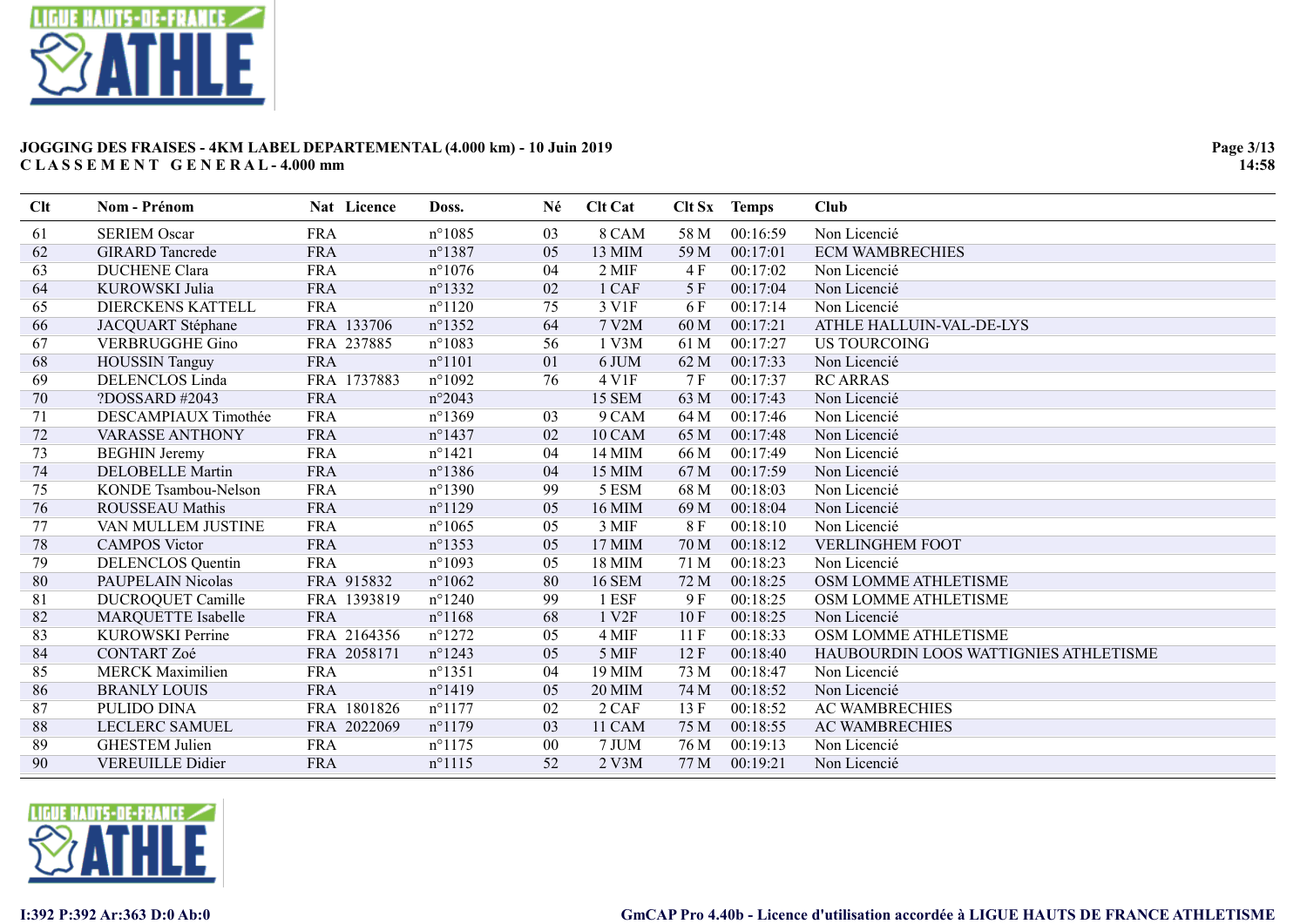

| Clt | Nom - Prénom             | Nat Licence | Doss.            | Né | <b>Clt Cat</b>    | Clt Sx | <b>Temps</b> | Club                                  |
|-----|--------------------------|-------------|------------------|----|-------------------|--------|--------------|---------------------------------------|
| 61  | <b>SERIEM Oscar</b>      | <b>FRA</b>  | $n^{\circ}1085$  | 03 | 8 CAM             | 58 M   | 00:16:59     | Non Licencié                          |
| 62  | <b>GIRARD</b> Tancrede   | <b>FRA</b>  | $n^{\circ}$ 1387 | 05 | 13 MIM            | 59 M   | 00:17:01     | <b>ECM WAMBRECHIES</b>                |
| 63  | <b>DUCHENE Clara</b>     | <b>FRA</b>  | $n^{\circ}1076$  | 04 | 2 MIF             | 4 F    | 00:17:02     | Non Licencié                          |
| 64  | KUROWSKI Julia           | <b>FRA</b>  | $n^{\circ}1332$  | 02 | 1 CAF             | 5 F    | 00:17:04     | Non Licencié                          |
| 65  | DIERCKENS KATTELL        | <b>FRA</b>  | $n^{\circ}1120$  | 75 | 3 V1F             | 6 F    | 00:17:14     | Non Licencié                          |
| 66  | JACQUART Stéphane        | FRA 133706  | $n^{\circ}$ 1352 | 64 | 7 V2M             | 60 M   | 00:17:21     | ATHLE HALLUIN-VAL-DE-LYS              |
| 67  | <b>VERBRUGGHE Gino</b>   | FRA 237885  | $n^{\circ}1083$  | 56 | 1 V3M             | 61 M   | 00:17:27     | <b>US TOURCOING</b>                   |
| 68  | <b>HOUSSIN Tanguy</b>    | <b>FRA</b>  | $n^{\circ}1101$  | 01 | 6 JUM             | 62 M   | 00:17:33     | Non Licencié                          |
| 69  | <b>DELENCLOS Linda</b>   | FRA 1737883 | $n^{\circ}1092$  | 76 | 4 V1F             | 7 F    | 00:17:37     | <b>RC ARRAS</b>                       |
| 70  | ?DOSSARD #2043           | <b>FRA</b>  | $n^{\circ}2043$  |    | <b>15 SEM</b>     | 63 M   | 00:17:43     | Non Licencié                          |
| 71  | DESCAMPIAUX Timothée     | <b>FRA</b>  | $n^{\circ}1369$  | 03 | 9 CAM             | 64 M   | 00:17:46     | Non Licencié                          |
| 72  | <b>VARASSE ANTHONY</b>   | <b>FRA</b>  | $n^{\circ}$ 1437 | 02 | 10 CAM            | 65 M   | 00:17:48     | Non Licencié                          |
| 73  | <b>BEGHIN</b> Jeremy     | <b>FRA</b>  | $n^{\circ}1421$  | 04 | 14 MIM            | 66 M   | 00:17:49     | Non Licencié                          |
| 74  | <b>DELOBELLE Martin</b>  | <b>FRA</b>  | $n^{\circ}$ 1386 | 04 | 15 MIM            | 67 M   | 00:17:59     | Non Licencié                          |
| 75  | KONDE Tsambou-Nelson     | <b>FRA</b>  | $n^{\circ}1390$  | 99 | 5 ESM             | 68 M   | 00:18:03     | Non Licencié                          |
| 76  | <b>ROUSSEAU Mathis</b>   | <b>FRA</b>  | $n^{\circ}1129$  | 05 | 16 MIM            | 69 M   | 00:18:04     | Non Licencié                          |
| 77  | VAN MULLEM JUSTINE       | <b>FRA</b>  | $n^{\circ}1065$  | 05 | 3 MIF             | 8F     | 00:18:10     | Non Licencié                          |
| 78  | <b>CAMPOS Victor</b>     | <b>FRA</b>  | $n^{\circ}$ 1353 | 05 | 17 MIM            | 70 M   | 00:18:12     | <b>VERLINGHEM FOOT</b>                |
| 79  | <b>DELENCLOS</b> Quentin | <b>FRA</b>  | $n^{\circ}1093$  | 05 | 18 MIM            | 71 M   | 00:18:23     | Non Licencié                          |
| 80  | PAUPELAIN Nicolas        | FRA 915832  | $n^{\circ}1062$  | 80 | <b>16 SEM</b>     | 72 M   | 00:18:25     | OSM LOMME ATHLETISME                  |
| 81  | <b>DUCROQUET Camille</b> | FRA 1393819 | $n^{\circ}$ 1240 | 99 | 1 ESF             | 9 F    | 00:18:25     | OSM LOMME ATHLETISME                  |
| 82  | MARQUETTE Isabelle       | <b>FRA</b>  | $n^{\circ}1168$  | 68 | 1 V <sub>2F</sub> | 10F    | 00:18:25     | Non Licencié                          |
| 83  | KUROWSKI Perrine         | FRA 2164356 | $n^{\circ}1272$  | 05 | 4 MIF             | 11F    | 00:18:33     | OSM LOMME ATHLETISME                  |
| 84  | <b>CONTART Zoé</b>       | FRA 2058171 | $n^{\circ}1243$  | 05 | 5 MIF             | 12F    | 00:18:40     | HAUBOURDIN LOOS WATTIGNIES ATHLETISME |
| 85  | <b>MERCK Maximilien</b>  | <b>FRA</b>  | $n^{\circ}1351$  | 04 | 19 MIM            | 73 M   | 00:18:47     | Non Licencié                          |
| 86  | <b>BRANLY LOUIS</b>      | <b>FRA</b>  | $n^{\circ}1419$  | 05 | <b>20 MIM</b>     | 74 M   | 00:18:52     | Non Licencié                          |
| 87  | PULIDO DINA              | FRA 1801826 | $n^{\circ}1177$  | 02 | 2 CAF             | 13F    | 00:18:52     | <b>AC WAMBRECHIES</b>                 |
| 88  | LECLERC SAMUEL           | FRA 2022069 | $n^{\circ}1179$  | 03 | 11 CAM            | 75 M   | 00:18:55     | <b>AC WAMBRECHIES</b>                 |
| 89  | <b>GHESTEM Julien</b>    | <b>FRA</b>  | $n^{\circ}1175$  | 00 | 7 JUM             | 76 M   | 00:19:13     | Non Licencié                          |
| 90  | <b>VEREUILLE Didier</b>  | <b>FRA</b>  | $n^{\circ}1115$  | 52 | 2 V3M             | 77 M   | 00:19:21     | Non Licencié                          |

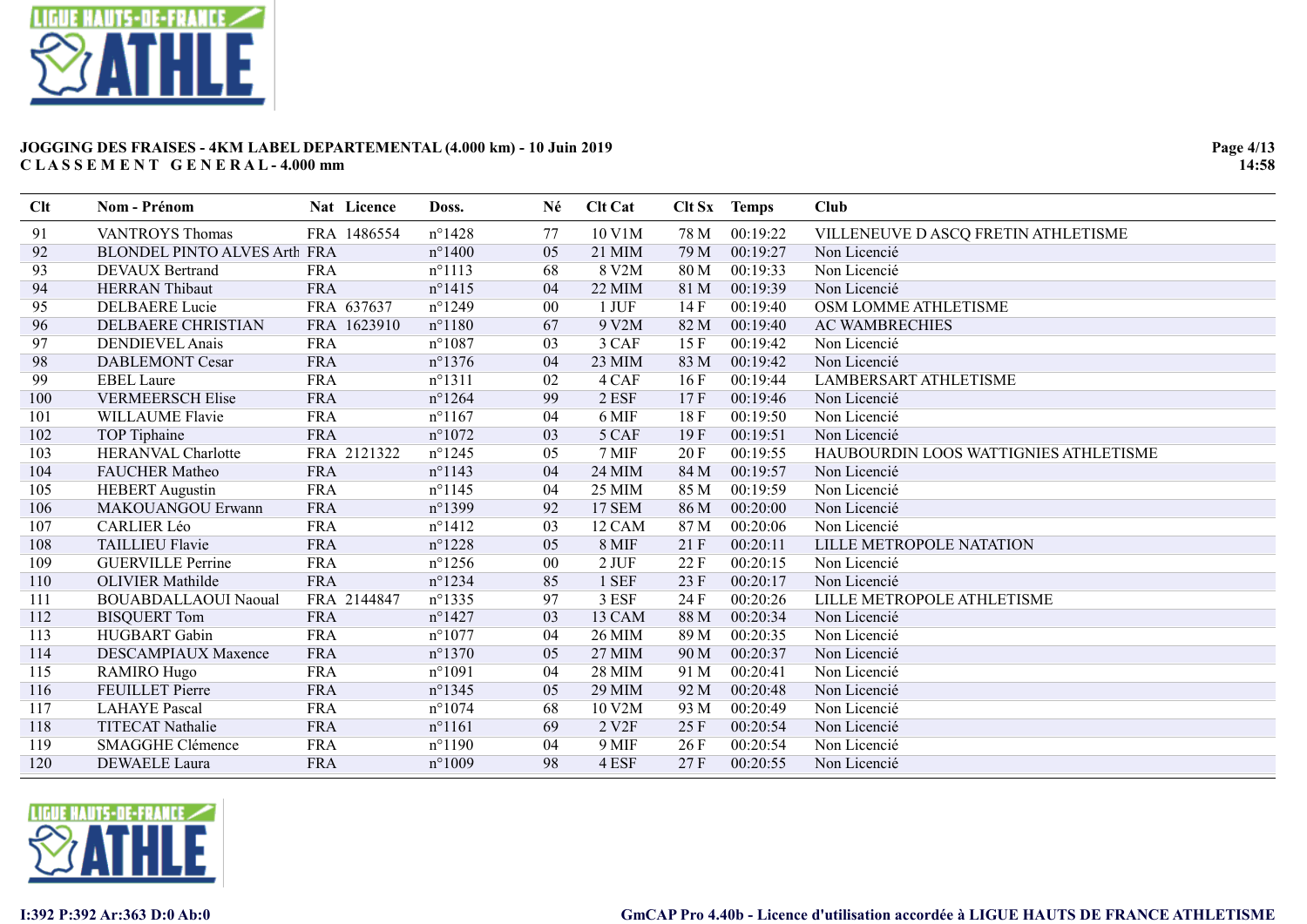

| Clt | Nom - Prénom                        | Nat Licence | Doss.            | Né     | <b>Clt Cat</b>    | Clt Sx | <b>Temps</b> | Club                                  |
|-----|-------------------------------------|-------------|------------------|--------|-------------------|--------|--------------|---------------------------------------|
| 91  | <b>VANTROYS Thomas</b>              | FRA 1486554 | $n^{\circ}$ 1428 | 77     | 10 V1M            | 78 M   | 00:19:22     | VILLENEUVE D ASCQ FRETIN ATHLETISME   |
| 92  | <b>BLONDEL PINTO ALVES Arth FRA</b> |             | $n^{\circ}$ 1400 | 05     | 21 MIM            | 79 M   | 00:19:27     | Non Licencié                          |
| 93  | <b>DEVAUX Bertrand</b>              | <b>FRA</b>  | $n^{\circ}1113$  | 68     | 8 V2M             | 80 M   | 00:19:33     | Non Licencié                          |
| 94  | <b>HERRAN</b> Thibaut               | <b>FRA</b>  | $n^{\circ}$ 1415 | 04     | <b>22 MIM</b>     | 81 M   | 00:19:39     | Non Licencié                          |
| 95  | <b>DELBAERE</b> Lucie               | FRA 637637  | $n^{\circ}$ 1249 | 00     | 1 JUF             | 14F    | 00:19:40     | OSM LOMME ATHLETISME                  |
| 96  | DELBAERE CHRISTIAN                  | FRA 1623910 | $n^{\circ}1180$  | 67     | 9 V2M             | 82 M   | 00:19:40     | <b>AC WAMBRECHIES</b>                 |
| 97  | <b>DENDIEVEL Anais</b>              | <b>FRA</b>  | $n^{\circ}1087$  | 03     | 3 CAF             | 15F    | 00:19:42     | Non Licencié                          |
| 98  | <b>DABLEMONT Cesar</b>              | <b>FRA</b>  | $n^{\circ}$ 1376 | 04     | 23 MIM            | 83 M   | 00:19:42     | Non Licencié                          |
| 99  | <b>EBEL Laure</b>                   | <b>FRA</b>  | $n^{\circ}1311$  | 02     | 4 CAF             | 16F    | 00:19:44     | <b>LAMBERSART ATHLETISME</b>          |
| 100 | <b>VERMEERSCH Elise</b>             | <b>FRA</b>  | $n^{\circ}$ 1264 | 99     | 2 ESF             | 17F    | 00:19:46     | Non Licencié                          |
| 101 | WILLAUME Flavie                     | <b>FRA</b>  | $n^{\circ}1167$  | 04     | 6 MIF             | 18 F   | 00:19:50     | Non Licencié                          |
| 102 | TOP Tiphaine                        | <b>FRA</b>  | $n^{\circ}1072$  | 03     | 5 CAF             | 19F    | 00:19:51     | Non Licencié                          |
| 103 | HERANVAL Charlotte                  | FRA 2121322 | $n^{\circ}$ 1245 | 05     | 7 MIF             | 20 F   | 00:19:55     | HAUBOURDIN LOOS WATTIGNIES ATHLETISME |
| 104 | FAUCHER Matheo                      | <b>FRA</b>  | $n^{\circ}$ 1143 | 04     | 24 MIM            | 84 M   | 00:19:57     | Non Licencié                          |
| 105 | <b>HEBERT</b> Augustin              | <b>FRA</b>  | $n^{\circ}$ 1145 | 04     | 25 MIM            | 85 M   | 00:19:59     | Non Licencié                          |
| 106 | MAKOUANGOU Erwann                   | <b>FRA</b>  | $n^{\circ}$ 1399 | 92     | 17 SEM            | 86 M   | 00:20:00     | Non Licencié                          |
| 107 | <b>CARLIER Léo</b>                  | <b>FRA</b>  | $n^{\circ}1412$  | 03     | 12 CAM            | 87 M   | 00:20:06     | Non Licencié                          |
| 108 | <b>TAILLIEU Flavie</b>              | <b>FRA</b>  | $n^{\circ}$ 1228 | 05     | 8 MIF             | 21F    | 00:20:11     | LILLE METROPOLE NATATION              |
| 109 | <b>GUERVILLE Perrine</b>            | <b>FRA</b>  | $n^{\circ}$ 1256 | $00\,$ | 2 JUF             | 22F    | 00:20:15     | Non Licencié                          |
| 110 | <b>OLIVIER Mathilde</b>             | <b>FRA</b>  | $n^{\circ}$ 1234 | 85     | 1 SEF             | 23F    | 00:20:17     | Non Licencié                          |
| 111 | <b>BOUABDALLAOUI Naoual</b>         | FRA 2144847 | $n^{\circ}$ 1335 | 97     | 3 ESF             | 24 F   | 00:20:26     | LILLE METROPOLE ATHLETISME            |
| 112 | <b>BISQUERT Tom</b>                 | <b>FRA</b>  | $n^{\circ}$ 1427 | 03     | 13 CAM            | 88 M   | 00:20:34     | Non Licencié                          |
| 113 | HUGBART Gabin                       | <b>FRA</b>  | $n^{\circ}1077$  | 04     | <b>26 MIM</b>     | 89 M   | 00:20:35     | Non Licencié                          |
| 114 | DESCAMPIAUX Maxence                 | <b>FRA</b>  | $n^{\circ}$ 1370 | 05     | 27 MIM            | 90 M   | 00:20:37     | Non Licencié                          |
| 115 | <b>RAMIRO Hugo</b>                  | <b>FRA</b>  | $n^{\circ}1091$  | 04     | <b>28 MIM</b>     | 91 M   | 00:20:41     | Non Licencié                          |
| 116 | <b>FEUILLET</b> Pierre              | <b>FRA</b>  | $n^{\circ}$ 1345 | 05     | <b>29 MIM</b>     | 92 M   | 00:20:48     | Non Licencié                          |
| 117 | <b>LAHAYE</b> Pascal                | <b>FRA</b>  | $n^{\circ}1074$  | 68     | 10 V2M            | 93 M   | 00:20:49     | Non Licencié                          |
| 118 | <b>TITECAT Nathalie</b>             | <b>FRA</b>  | $n^{\circ}1161$  | 69     | 2 V <sub>2F</sub> | 25 F   | 00:20:54     | Non Licencié                          |
| 119 | <b>SMAGGHE Clémence</b>             | <b>FRA</b>  | $n^{\circ}1190$  | 04     | 9 MIF             | 26F    | 00:20:54     | Non Licencié                          |
| 120 | <b>DEWAELE</b> Laura                | <b>FRA</b>  | $n^{\circ}1009$  | 98     | 4 ESF             | 27F    | 00:20:55     | Non Licencié                          |

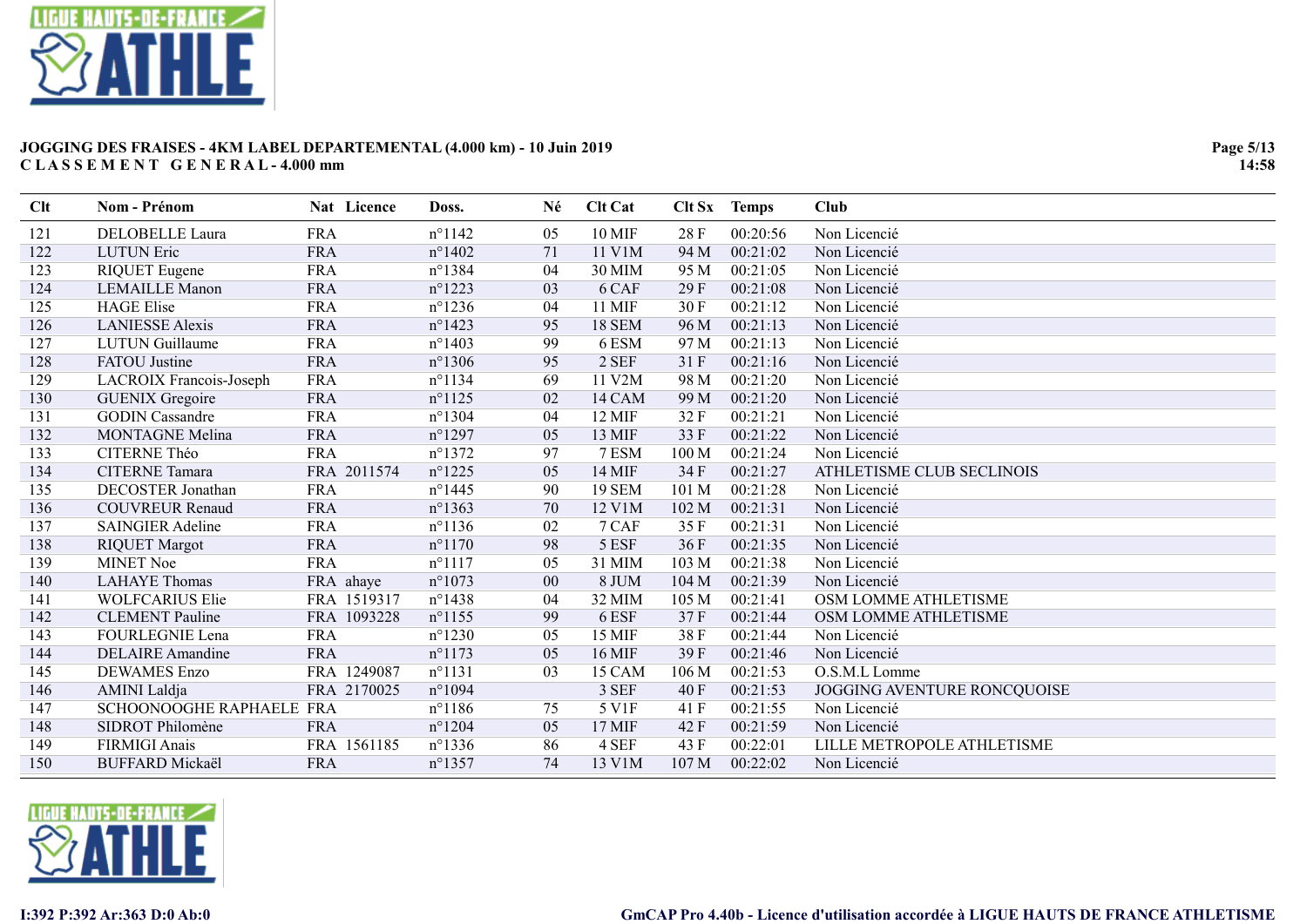

| Clt | Nom - Prénom             | Nat Licence | Doss.            | Né     | <b>Clt Cat</b> |                  | Clt Sx Temps | <b>Club</b>                 |
|-----|--------------------------|-------------|------------------|--------|----------------|------------------|--------------|-----------------------------|
| 121 | DELOBELLE Laura          | <b>FRA</b>  | $n^{\circ}1142$  | 05     | <b>10 MIF</b>  | 28 F             | 00:20:56     | Non Licencié                |
| 122 | <b>LUTUN</b> Eric        | <b>FRA</b>  | $n^{\circ}$ 1402 | 71     | 11 V1M         | 94 M             | 00:21:02     | Non Licencié                |
| 123 | <b>RIQUET</b> Eugene     | <b>FRA</b>  | $n^{\circ}$ 1384 | 04     | 30 MIM         | 95 M             | 00:21:05     | Non Licencié                |
| 124 | <b>LEMAILLE Manon</b>    | <b>FRA</b>  | $n^{\circ}$ 1223 | 03     | 6 CAF          | 29F              | 00:21:08     | Non Licencié                |
| 125 | <b>HAGE Elise</b>        | <b>FRA</b>  | $n^{\circ}$ 1236 | 04     | 11 MIF         | 30F              | 00:21:12     | Non Licencié                |
| 126 | <b>LANIESSE</b> Alexis   | <b>FRA</b>  | $n^{\circ}$ 1423 | 95     | <b>18 SEM</b>  | 96 M             | 00:21:13     | Non Licencié                |
| 127 | <b>LUTUN</b> Guillaume   | <b>FRA</b>  | $n^{\circ}$ 1403 | 99     | 6 ESM          | 97 M             | 00:21:13     | Non Licencié                |
| 128 | <b>FATOU</b> Justine     | <b>FRA</b>  | $n^{\circ}$ 1306 | 95     | 2 SEF          | 31 F             | 00:21:16     | Non Licencié                |
| 129 | LACROIX Francois-Joseph  | <b>FRA</b>  | $n^{\circ}1134$  | 69     | 11 V2M         | 98 M             | 00:21:20     | Non Licencié                |
| 130 | <b>GUENIX Gregoire</b>   | <b>FRA</b>  | $n^{\circ}1125$  | 02     | 14 CAM         | 99 M             | 00:21:20     | Non Licencié                |
| 131 | <b>GODIN</b> Cassandre   | <b>FRA</b>  | $n^{\circ}$ 1304 | 04     | 12 MIF         | 32F              | 00:21:21     | Non Licencié                |
| 132 | <b>MONTAGNE Melina</b>   | <b>FRA</b>  | $n^{\circ}$ 1297 | 05     | 13 MIF         | 33 F             | 00:21:22     | Non Licencié                |
| 133 | CITERNE Théo             | <b>FRA</b>  | $n^{\circ}1372$  | 97     | 7 ESM          | 100 M            | 00:21:24     | Non Licencié                |
| 134 | <b>CITERNE Tamara</b>    | FRA 2011574 | $n^{\circ}1225$  | 05     | 14 MIF         | 34 F             | 00:21:27     | ATHLETISME CLUB SECLINOIS   |
| 135 | <b>DECOSTER Jonathan</b> | <b>FRA</b>  | $n^{\circ}$ 1445 | 90     | <b>19 SEM</b>  | 101 M            | 00:21:28     | Non Licencié                |
| 136 | <b>COUVREUR Renaud</b>   | <b>FRA</b>  | $n^{\circ}$ 1363 | 70     | 12 V1M         | 102 M            | 00:21:31     | Non Licencié                |
| 137 | <b>SAINGIER Adeline</b>  | <b>FRA</b>  | $n^{\circ}1136$  | 02     | 7 CAF          | 35 F             | 00:21:31     | Non Licencié                |
| 138 | <b>RIQUET Margot</b>     | <b>FRA</b>  | $n^{\circ}1170$  | 98     | 5 ESF          | 36 F             | 00:21:35     | Non Licencié                |
| 139 | <b>MINET Noe</b>         | <b>FRA</b>  | $n^{\circ}1117$  | 05     | 31 MIM         | 103 M            | 00:21:38     | Non Licencié                |
| 140 | <b>LAHAYE Thomas</b>     | FRA ahaye   | $n^{\circ}1073$  | $00\,$ | 8 JUM          | 104 M            | 00:21:39     | Non Licencié                |
| 141 | <b>WOLFCARIUS Elie</b>   | FRA 1519317 | $n^{\circ}$ 1438 | 04     | 32 MIM         | 105 M            | 00:21:41     | OSM LOMME ATHLETISME        |
| 142 | <b>CLEMENT</b> Pauline   | FRA 1093228 | $n^{\circ}1155$  | 99     | 6 ESF          | 37 F             | 00:21:44     | OSM LOMME ATHLETISME        |
| 143 | FOURLEGNIE Lena          | <b>FRA</b>  | $n^{\circ}1230$  | 05     | 15 MIF         | 38F              | 00:21:44     | Non Licencié                |
| 144 | <b>DELAIRE</b> Amandine  | <b>FRA</b>  | $n^{\circ}1173$  | 05     | 16 MIF         | 39F              | 00:21:46     | Non Licencié                |
| 145 | <b>DEWAMES</b> Enzo      | FRA 1249087 | $n^{\circ}1131$  | 03     | 15 CAM         | 106 <sub>M</sub> | 00:21:53     | O.S.M.L Lomme               |
| 146 | <b>AMINI</b> Laldja      | FRA 2170025 | $n^{\circ}1094$  |        | 3 SEF          | 40 F             | 00:21:53     | JOGGING AVENTURE RONCQUOISE |
| 147 | SCHOONOOGHE RAPHAELE FRA |             | $n^{\circ}$ 1186 | 75     | 5 V1F          | 41 F             | 00:21:55     | Non Licencié                |
| 148 | SIDROT Philomène         | <b>FRA</b>  | $n^{\circ}1204$  | 05     | 17 MIF         | 42 F             | 00:21:59     | Non Licencié                |
| 149 | <b>FIRMIGI Anais</b>     | FRA 1561185 | $n^{\circ}$ 1336 | 86     | 4 SEF          | 43 F             | 00:22:01     | LILLE METROPOLE ATHLETISME  |
| 150 | <b>BUFFARD Mickaël</b>   | <b>FRA</b>  | $n^{\circ}$ 1357 | 74     | 13 V1M         | 107 <sub>M</sub> | 00:22:02     | Non Licencié                |

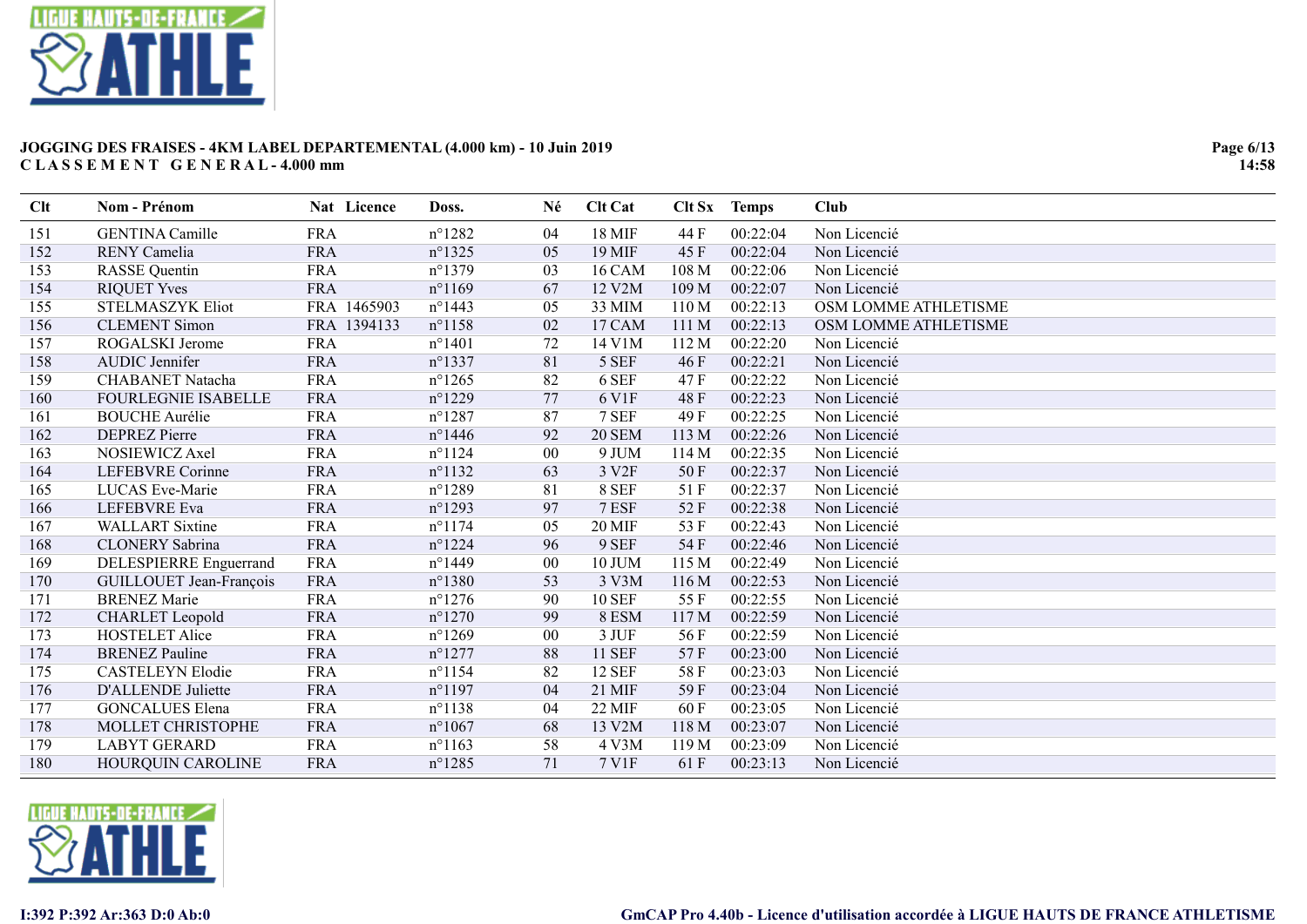

| Clt | Nom - Prénom               | Nat Licence | Doss.            | Né     | <b>Clt Cat</b> |       | Clt Sx Temps | Club                 |
|-----|----------------------------|-------------|------------------|--------|----------------|-------|--------------|----------------------|
| 151 | <b>GENTINA Camille</b>     | <b>FRA</b>  | $n^{\circ}1282$  | 04     | 18 MIF         | 44 F  | 00:22:04     | Non Licencié         |
| 152 | <b>RENY</b> Camelia        | <b>FRA</b>  | $n^{\circ}$ 1325 | 05     | 19 MIF         | 45 F  | 00:22:04     | Non Licencié         |
| 153 | <b>RASSE</b> Quentin       | <b>FRA</b>  | $n^{\circ}1379$  | 03     | <b>16 CAM</b>  | 108 M | 00:22:06     | Non Licencié         |
| 154 | <b>RIQUET Yves</b>         | <b>FRA</b>  | $n^{\circ}1169$  | 67     | 12 V2M         | 109 M | 00:22:07     | Non Licencié         |
| 155 | <b>STELMASZYK Eliot</b>    | FRA 1465903 | $n^{\circ}$ 1443 | 05     | 33 MIM         | 110 M | 00:22:13     | OSM LOMME ATHLETISME |
| 156 | <b>CLEMENT</b> Simon       | FRA 1394133 | $n^{\circ}$ 1158 | 02     | 17 CAM         | 111 M | 00:22:13     | OSM LOMME ATHLETISME |
| 157 | ROGALSKI Jerome            | <b>FRA</b>  | $n^{\circ}1401$  | 72     | 14 V1M         | 112 M | 00:22:20     | Non Licencié         |
| 158 | AUDIC Jennifer             | <b>FRA</b>  | $n^{\circ}$ 1337 | 81     | 5 SEF          | 46 F  | 00:22:21     | Non Licencié         |
| 159 | <b>CHABANET Natacha</b>    | <b>FRA</b>  | $n^{\circ}$ 1265 | 82     | 6 SEF          | 47 F  | 00:22:22     | Non Licencié         |
| 160 | <b>FOURLEGNIE ISABELLE</b> | <b>FRA</b>  | $n^{\circ}1229$  | 77     | 6 V1F          | 48 F  | 00:22:23     | Non Licencié         |
| 161 | <b>BOUCHE Aurélie</b>      | <b>FRA</b>  | $n^{\circ}$ 1287 | 87     | 7 SEF          | 49 F  | 00:22:25     | Non Licencié         |
| 162 | <b>DEPREZ Pierre</b>       | <b>FRA</b>  | $n^{\circ}$ 1446 | 92     | <b>20 SEM</b>  | 113 M | 00:22:26     | Non Licencié         |
| 163 | NOSIEWICZ Axel             | <b>FRA</b>  | $n^{\circ}1124$  | $00\,$ | 9 JUM          | 114 M | 00:22:35     | Non Licencié         |
| 164 | <b>LEFEBVRE</b> Corinne    | <b>FRA</b>  | $n^{\circ}1132$  | 63     | 3 V2F          | 50 F  | 00:22:37     | Non Licencié         |
| 165 | LUCAS Eve-Marie            | <b>FRA</b>  | $n^{\circ}1289$  | 81     | 8 SEF          | 51 F  | 00:22:37     | Non Licencié         |
| 166 | <b>LEFEBVRE Eva</b>        | <b>FRA</b>  | $n^{\circ}$ 1293 | 97     | 7 ESF          | 52F   | 00:22:38     | Non Licencié         |
| 167 | <b>WALLART</b> Sixtine     | <b>FRA</b>  | $n^{\circ}$ 1174 | 05     | <b>20 MIF</b>  | 53 F  | 00:22:43     | Non Licencié         |
| 168 | <b>CLONERY Sabrina</b>     | <b>FRA</b>  | $n^{\circ}$ 1224 | 96     | 9 SEF          | 54 F  | 00:22:46     | Non Licencié         |
| 169 | DELESPIERRE Enguerrand     | <b>FRA</b>  | $n^{\circ}$ 1449 | $00\,$ | 10 JUM         | 115 M | 00:22:49     | Non Licencié         |
| 170 | GUILLOUET Jean-François    | <b>FRA</b>  | $n^{\circ}1380$  | 53     | 3 V3M          | 116 M | 00:22:53     | Non Licencié         |
| 171 | <b>BRENEZ Marie</b>        | <b>FRA</b>  | $n^{\circ}$ 1276 | 90     | <b>10 SEF</b>  | 55F   | 00:22:55     | Non Licencié         |
| 172 | <b>CHARLET</b> Leopold     | <b>FRA</b>  | $n^{\circ}$ 1270 | 99     | 8 ESM          | 117 M | 00:22:59     | Non Licencié         |
| 173 | <b>HOSTELET Alice</b>      | <b>FRA</b>  | $n^{\circ}1269$  | $00\,$ | 3 JUF          | 56 F  | 00:22:59     | Non Licencié         |
| 174 | <b>BRENEZ Pauline</b>      | <b>FRA</b>  | $n^{\circ}$ 1277 | 88     | <b>11 SEF</b>  | 57F   | 00:23:00     | Non Licencié         |
| 175 | <b>CASTELEYN Elodie</b>    | <b>FRA</b>  | $n^{\circ}$ 1154 | 82     | <b>12 SEF</b>  | 58F   | 00:23:03     | Non Licencié         |
| 176 | <b>D'ALLENDE Juliette</b>  | <b>FRA</b>  | $n^{\circ}$ 1197 | 04     | 21 MIF         | 59F   | 00:23:04     | Non Licencié         |
| 177 | <b>GONCALUES Elena</b>     | <b>FRA</b>  | $n^{\circ}1138$  | 04     | $22$ MIF       | 60F   | 00:23:05     | Non Licencié         |
| 178 | MOLLET CHRISTOPHE          | <b>FRA</b>  | $n^{\circ}1067$  | 68     | 13 V2M         | 118 M | 00:23:07     | Non Licencié         |
| 179 | <b>LABYT GERARD</b>        | <b>FRA</b>  | $n^{\circ}1163$  | 58     | 4 V3M          | 119 M | 00:23:09     | Non Licencié         |
| 180 | HOURQUIN CAROLINE          | <b>FRA</b>  | $n^{\circ}$ 1285 | 71     | 7 V1F          | 61 F  | 00:23:13     | Non Licencié         |

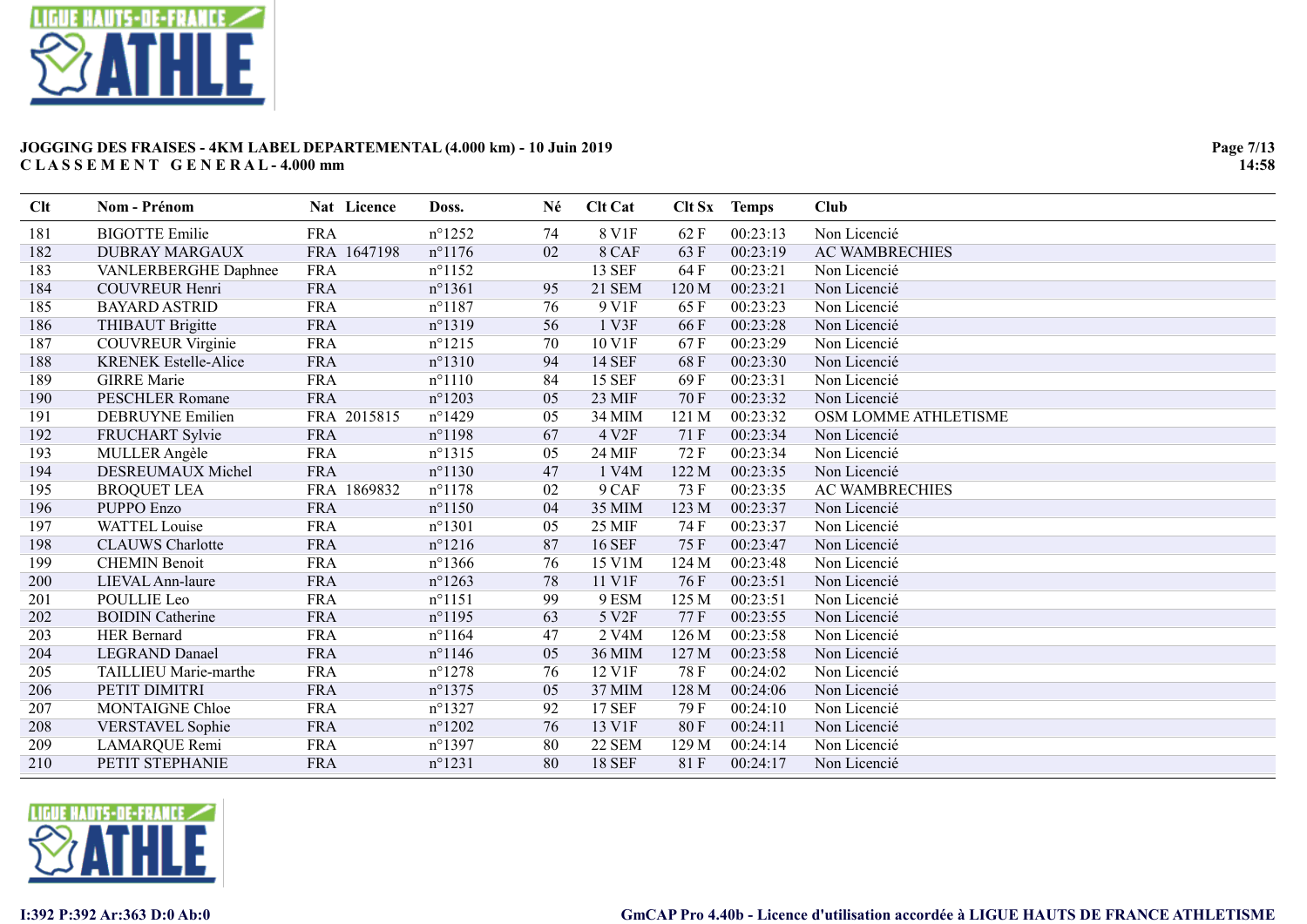

| Clt | Nom - Prénom                | Nat Licence | Doss.            | Né | <b>Clt Cat</b>     | Clt Sx | <b>Temps</b> | <b>Club</b>           |
|-----|-----------------------------|-------------|------------------|----|--------------------|--------|--------------|-----------------------|
| 181 | <b>BIGOTTE Emilie</b>       | <b>FRA</b>  | $n^{\circ}$ 1252 | 74 | 8 V1F              | 62F    | 00:23:13     | Non Licencié          |
| 182 | <b>DUBRAY MARGAUX</b>       | FRA 1647198 | $n^{\circ}$ 1176 | 02 | 8 CAF              | 63 F   | 00:23:19     | <b>AC WAMBRECHIES</b> |
| 183 | VANLERBERGHE Daphnee        | <b>FRA</b>  | $n^{\circ}1152$  |    | <b>13 SEF</b>      | 64 F   | 00:23:21     | Non Licencié          |
| 184 | <b>COUVREUR Henri</b>       | <b>FRA</b>  | $n^{\circ}1361$  | 95 | <b>21 SEM</b>      | 120 M  | 00:23:21     | Non Licencié          |
| 185 | <b>BAYARD ASTRID</b>        | <b>FRA</b>  | $n^{\circ}1187$  | 76 | 9 V1F              | 65F    | 00:23:23     | Non Licencié          |
| 186 | THIBAUT Brigitte            | <b>FRA</b>  | $n^{\circ}1319$  | 56 | 1 V3F              | 66F    | 00:23:28     | Non Licencié          |
| 187 | <b>COUVREUR Virginie</b>    | <b>FRA</b>  | $n^{\circ}1215$  | 70 | 10 V1F             | 67F    | 00:23:29     | Non Licencié          |
| 188 | <b>KRENEK Estelle-Alice</b> | <b>FRA</b>  | $n^{\circ}1310$  | 94 | <b>14 SEF</b>      | 68F    | 00:23:30     | Non Licencié          |
| 189 | <b>GIRRE Marie</b>          | <b>FRA</b>  | $n^{\circ}1110$  | 84 | <b>15 SEF</b>      | 69F    | 00:23:31     | Non Licencié          |
| 190 | <b>PESCHLER Romane</b>      | <b>FRA</b>  | $n^{\circ}1203$  | 05 | 23 MIF             | 70F    | 00:23:32     | Non Licencié          |
| 191 | <b>DEBRUYNE Emilien</b>     | FRA 2015815 | $n^{\circ}$ 1429 | 05 | 34 MIM             | 121 M  | 00:23:32     | OSM LOMME ATHLETISME  |
| 192 | FRUCHART Sylvie             | <b>FRA</b>  | $n^{\circ}$ 1198 | 67 | 4 V <sub>2F</sub>  | 71 F   | 00:23:34     | Non Licencié          |
| 193 | MULLER Angèle               | <b>FRA</b>  | $n^{\circ}1315$  | 05 | 24 MIF             | 72 F   | 00:23:34     | Non Licencié          |
| 194 | DESREUMAUX Michel           | <b>FRA</b>  | $n^{\circ}1130$  | 47 | 1 V4M              | 122 M  | 00:23:35     | Non Licencié          |
| 195 | <b>BROQUET LEA</b>          | FRA 1869832 | $n^{\circ}$ 1178 | 02 | 9 CAF              | 73 F   | 00:23:35     | <b>AC WAMBRECHIES</b> |
| 196 | <b>PUPPO Enzo</b>           | <b>FRA</b>  | $n^{\circ}1150$  | 04 | 35 MIM             | 123 M  | 00:23:37     | Non Licencié          |
| 197 | <b>WATTEL Louise</b>        | <b>FRA</b>  | $n^{\circ}1301$  | 05 | 25 MIF             | 74 F   | 00:23:37     | Non Licencié          |
| 198 | <b>CLAUWS</b> Charlotte     | <b>FRA</b>  | $n^{\circ}1216$  | 87 | <b>16 SEF</b>      | 75F    | 00:23:47     | Non Licencié          |
| 199 | <b>CHEMIN Benoit</b>        | <b>FRA</b>  | $n^{\circ}$ 1366 | 76 | 15 V1M             | 124 M  | 00:23:48     | Non Licencié          |
| 200 | LIEVAL Ann-laure            | <b>FRA</b>  | $n^{\circ}1263$  | 78 | 11 V1F             | 76F    | 00:23:51     | Non Licencié          |
| 201 | POULLIE Leo                 | <b>FRA</b>  | $n^{\circ}1151$  | 99 | 9 ESM              | 125 M  | 00:23:51     | Non Licencié          |
| 202 | <b>BOIDIN Catherine</b>     | <b>FRA</b>  | $n^{\circ}$ 1195 | 63 | 5 V2F              | 77 F   | 00:23:55     | Non Licencié          |
| 203 | <b>HER Bernard</b>          | <b>FRA</b>  | $n^{\circ}1164$  | 47 | 2 V <sub>4</sub> M | 126 M  | 00:23:58     | Non Licencié          |
| 204 | <b>LEGRAND Danael</b>       | <b>FRA</b>  | $n^{\circ}$ 1146 | 05 | 36 MIM             | 127 M  | 00:23:58     | Non Licencié          |
| 205 | TAILLIEU Marie-marthe       | <b>FRA</b>  | $n^{\circ}$ 1278 | 76 | 12 V1F             | 78 F   | 00:24:02     | Non Licencié          |
| 206 | PETIT DIMITRI               | <b>FRA</b>  | $n^{\circ}$ 1375 | 05 | 37 MIM             | 128 M  | 00:24:06     | Non Licencié          |
| 207 | <b>MONTAIGNE Chloe</b>      | <b>FRA</b>  | $n^{\circ}$ 1327 | 92 | <b>17 SEF</b>      | 79 F   | 00:24:10     | Non Licencié          |
| 208 | <b>VERSTAVEL Sophie</b>     | <b>FRA</b>  | $n^{\circ}1202$  | 76 | 13 V1F             | 80F    | 00:24:11     | Non Licencié          |
| 209 | LAMARQUE Remi               | <b>FRA</b>  | $n^{\circ}$ 1397 | 80 | 22 SEM             | 129 M  | 00:24:14     | Non Licencié          |
| 210 | PETIT STEPHANIE             | <b>FRA</b>  | $n^{\circ}1231$  | 80 | <b>18 SEF</b>      | 81F    | 00:24:17     | Non Licencié          |

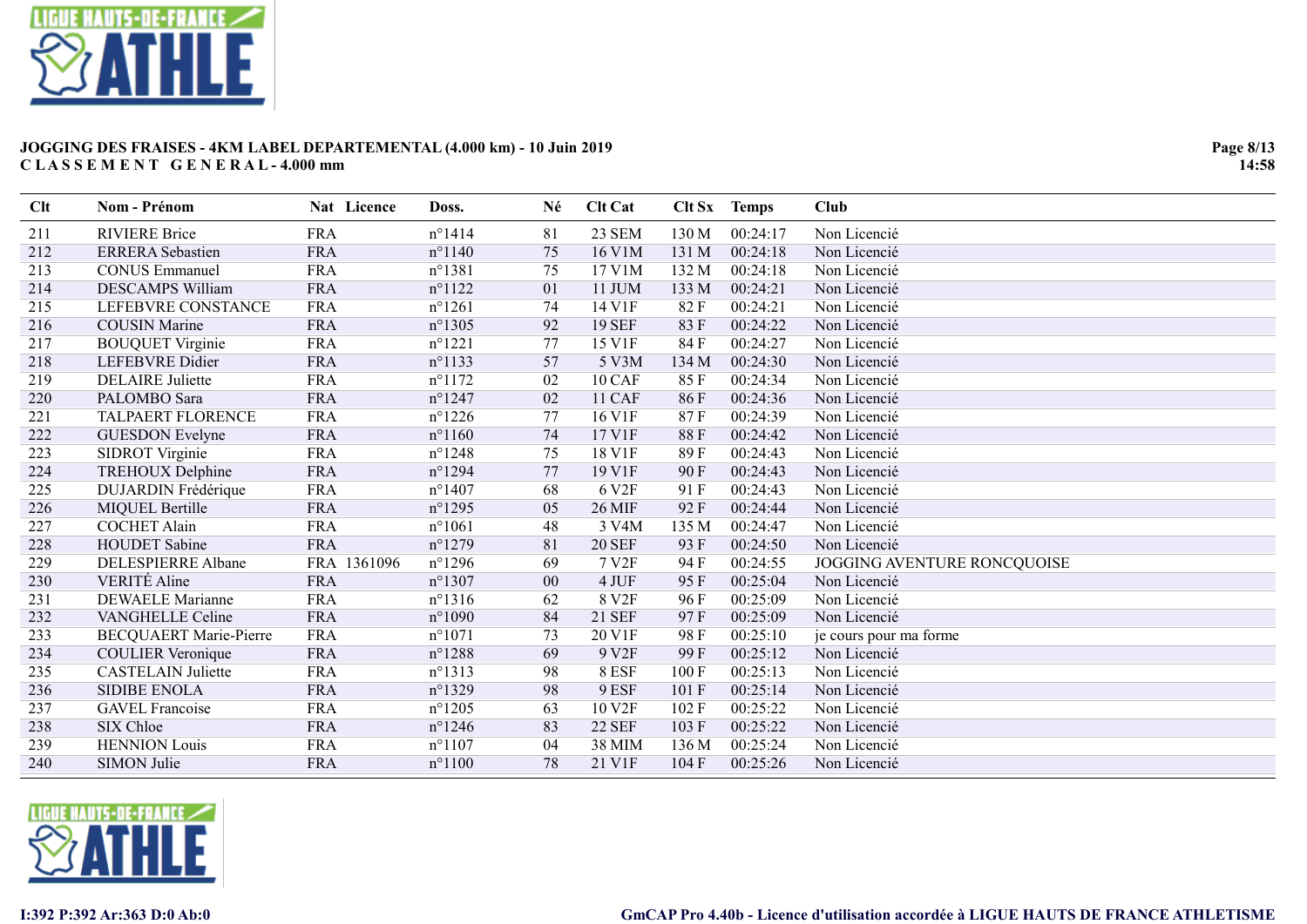

| Clt | Nom - Prénom                  | Nat Licence | Doss.            | Né     | <b>Clt Cat</b>    |       | Clt Sx Temps | <b>Club</b>                 |
|-----|-------------------------------|-------------|------------------|--------|-------------------|-------|--------------|-----------------------------|
| 211 | <b>RIVIERE Brice</b>          | <b>FRA</b>  | $n^{\circ}1414$  | 81     | 23 SEM            | 130 M | 00:24:17     | Non Licencié                |
| 212 | <b>ERRERA</b> Sebastien       | <b>FRA</b>  | $n^{\circ}$ 1140 | 75     | 16 V1M            | 131 M | 00:24:18     | Non Licencié                |
| 213 | <b>CONUS Emmanuel</b>         | <b>FRA</b>  | $n^{\circ}1381$  | 75     | 17 V1M            | 132 M | 00:24:18     | Non Licencié                |
| 214 | <b>DESCAMPS William</b>       | <b>FRA</b>  | $n^{\circ}1122$  | 01     | 11 JUM            | 133 M | 00:24:21     | Non Licencié                |
| 215 | LEFEBVRE CONSTANCE            | <b>FRA</b>  | $n^{\circ}1261$  | 74     | 14 V1F            | 82F   | 00:24:21     | Non Licencié                |
| 216 | <b>COUSIN Marine</b>          | <b>FRA</b>  | $n^{\circ}$ 1305 | 92     | <b>19 SEF</b>     | 83 F  | 00:24:22     | Non Licencié                |
| 217 | <b>BOUQUET Virginie</b>       | <b>FRA</b>  | $n^{\circ}1221$  | 77     | 15 V1F            | 84 F  | 00:24:27     | Non Licencié                |
| 218 | <b>LEFEBVRE</b> Didier        | <b>FRA</b>  | $n^{\circ}1133$  | 57     | 5 V3M             | 134 M | 00:24:30     | Non Licencié                |
| 219 | <b>DELAIRE</b> Juliette       | <b>FRA</b>  | $n^{\circ}1172$  | 02     | 10 CAF            | 85 F  | 00:24:34     | Non Licencié                |
| 220 | PALOMBO Sara                  | <b>FRA</b>  | $n^{\circ}$ 1247 | 02     | 11 CAF            | 86F   | 00:24:36     | Non Licencié                |
| 221 | TALPAERT FLORENCE             | <b>FRA</b>  | $n^{\circ}$ 1226 | 77     | 16 V1F            | 87F   | 00:24:39     | Non Licencié                |
| 222 | <b>GUESDON</b> Evelyne        | <b>FRA</b>  | $n^{\circ}1160$  | 74     | 17 V1F            | 88F   | 00:24:42     | Non Licencié                |
| 223 | SIDROT Virginie               | <b>FRA</b>  | $n^{\circ}$ 1248 | 75     | 18 V1F            | 89 F  | 00:24:43     | Non Licencié                |
| 224 | <b>TREHOUX Delphine</b>       | <b>FRA</b>  | $n^{\circ}$ 1294 | 77     | 19 V1F            | 90F   | 00:24:43     | Non Licencié                |
| 225 | DUJARDIN Frédérique           | <b>FRA</b>  | $n^{\circ}$ 1407 | 68     | 6 V <sub>2F</sub> | 91 F  | 00:24:43     | Non Licencié                |
| 226 | <b>MIQUEL Bertille</b>        | <b>FRA</b>  | $n^{\circ}$ 1295 | 05     | <b>26 MIF</b>     | 92F   | 00:24:44     | Non Licencié                |
| 227 | <b>COCHET Alain</b>           | <b>FRA</b>  | $n^{\circ}1061$  | 48     | 3 V4M             | 135 M | 00:24:47     | Non Licencié                |
| 228 | <b>HOUDET</b> Sabine          | <b>FRA</b>  | $n^{\circ}$ 1279 | 81     | <b>20 SEF</b>     | 93 F  | 00:24:50     | Non Licencié                |
| 229 | DELESPIERRE Albane            | FRA 1361096 | $n^{\circ}$ 1296 | 69     | 7 V <sub>2F</sub> | 94 F  | 00:24:55     | JOGGING AVENTURE RONCQUOISE |
| 230 | <b>VERITÉ</b> Aline           | <b>FRA</b>  | $n^{\circ}$ 1307 | $00\,$ | 4 JUF             | 95F   | 00:25:04     | Non Licencié                |
| 231 | <b>DEWAELE Marianne</b>       | <b>FRA</b>  | $n^{\circ}1316$  | 62     | 8 V <sub>2F</sub> | 96 F  | 00:25:09     | Non Licencié                |
| 232 | <b>VANGHELLE Celine</b>       | <b>FRA</b>  | $n^{\circ}1090$  | 84     | 21 SEF            | 97F   | 00:25:09     | Non Licencié                |
| 233 | <b>BECQUAERT Marie-Pierre</b> | <b>FRA</b>  | $n^{\circ}1071$  | 73     | 20 V1F            | 98F   | 00:25:10     | je cours pour ma forme      |
| 234 | <b>COULIER Veronique</b>      | <b>FRA</b>  | $n^{\circ}$ 1288 | 69     | 9 V <sub>2F</sub> | 99 F  | 00:25:12     | Non Licencié                |
| 235 | <b>CASTELAIN Juliette</b>     | <b>FRA</b>  | $n^{\circ}1313$  | 98     | 8 ESF             | 100F  | 00:25:13     | Non Licencié                |
| 236 | <b>SIDIBE ENOLA</b>           | <b>FRA</b>  | $n^{\circ}$ 1329 | 98     | 9 ESF             | 101 F | 00:25:14     | Non Licencié                |
| 237 | <b>GAVEL</b> Francoise        | <b>FRA</b>  | $n^{\circ}$ 1205 | 63     | 10 V2F            | 102 F | 00:25:22     | Non Licencié                |
| 238 | SIX Chloe                     | <b>FRA</b>  | $n^{\circ}$ 1246 | 83     | <b>22 SEF</b>     | 103 F | 00:25:22     | Non Licencié                |
| 239 | <b>HENNION</b> Louis          | <b>FRA</b>  | $n^{\circ}1107$  | 04     | 38 MIM            | 136 M | 00:25:24     | Non Licencié                |
| 240 | <b>SIMON Julie</b>            | <b>FRA</b>  | $n^{\circ}1100$  | 78     | 21 V1F            | 104 F | 00:25:26     | Non Licencié                |

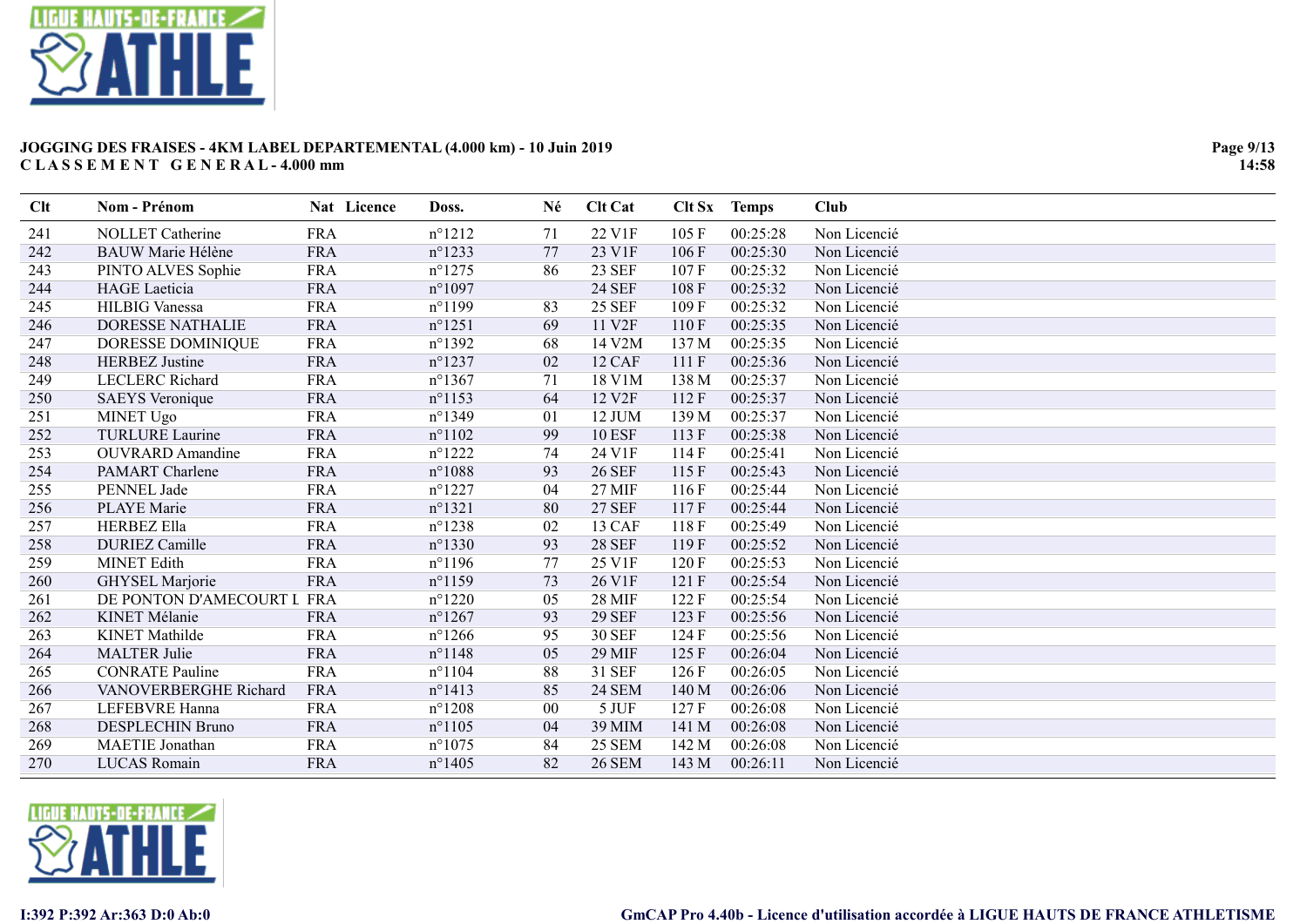

| Clt | Nom - Prénom               | Nat Licence | Doss.            | Né     | <b>Clt Cat</b>     | Clt Sx | <b>Temps</b> | <b>Club</b>  |
|-----|----------------------------|-------------|------------------|--------|--------------------|--------|--------------|--------------|
| 241 | <b>NOLLET</b> Catherine    | <b>FRA</b>  | $n^{\circ}1212$  | 71     | 22 V1F             | 105 F  | 00:25:28     | Non Licencié |
| 242 | <b>BAUW Marie Hélène</b>   | <b>FRA</b>  | $n^{\circ}1233$  | 77     | 23 V1F             | 106F   | 00:25:30     | Non Licencié |
| 243 | PINTO ALVES Sophie         | <b>FRA</b>  | $n^{\circ}$ 1275 | 86     | <b>23 SEF</b>      | 107 F  | 00:25:32     | Non Licencié |
| 244 | <b>HAGE</b> Laeticia       | <b>FRA</b>  | $n^{\circ}1097$  |        | <b>24 SEF</b>      | 108 F  | 00:25:32     | Non Licencié |
| 245 | <b>HILBIG</b> Vanessa      | <b>FRA</b>  | $n^{\circ}1199$  | 83     | <b>25 SEF</b>      | 109F   | 00:25:32     | Non Licencié |
| 246 | <b>DORESSE NATHALIE</b>    | <b>FRA</b>  | $n^{\circ}1251$  | 69     | 11 V <sub>2F</sub> | 110F   | 00:25:35     | Non Licencié |
| 247 | DORESSE DOMINIQUE          | <b>FRA</b>  | $n^{\circ}$ 1392 | 68     | 14 V2M             | 137 M  | 00:25:35     | Non Licencié |
| 248 | <b>HERBEZ</b> Justine      | <b>FRA</b>  | $n^{\circ}$ 1237 | 02     | 12 CAF             | 111 F  | 00:25:36     | Non Licencié |
| 249 | <b>LECLERC</b> Richard     | <b>FRA</b>  | $n^{\circ}$ 1367 | 71     | 18 V1M             | 138 M  | 00:25:37     | Non Licencié |
| 250 | <b>SAEYS</b> Veronique     | <b>FRA</b>  | $n^{\circ}1153$  | 64     | 12 V2F             | 112F   | 00:25:37     | Non Licencié |
| 251 | <b>MINET Ugo</b>           | <b>FRA</b>  | $n^{\circ}1349$  | 01     | 12 JUM             | 139 M  | 00:25:37     | Non Licencié |
| 252 | <b>TURLURE Laurine</b>     | <b>FRA</b>  | $n^{\circ}1102$  | 99     | <b>10 ESF</b>      | 113F   | 00:25:38     | Non Licencié |
| 253 | <b>OUVRARD</b> Amandine    | <b>FRA</b>  | $n^{\circ}$ 1222 | 74     | 24 V1F             | 114 F  | 00:25:41     | Non Licencié |
| 254 | <b>PAMART</b> Charlene     | <b>FRA</b>  | $n^{\circ}1088$  | 93     | <b>26 SEF</b>      | 115F   | 00:25:43     | Non Licencié |
| 255 | PENNEL Jade                | <b>FRA</b>  | $n^{\circ}$ 1227 | 04     | 27 MIF             | 116F   | 00:25:44     | Non Licencié |
| 256 | <b>PLAYE</b> Marie         | <b>FRA</b>  | $n^{\circ}1321$  | 80     | <b>27 SEF</b>      | 117F   | 00:25:44     | Non Licencié |
| 257 | <b>HERBEZ Ella</b>         | <b>FRA</b>  | $n^{\circ}$ 1238 | 02     | 13 CAF             | 118F   | 00:25:49     | Non Licencié |
| 258 | <b>DURIEZ Camille</b>      | <b>FRA</b>  | $n^{\circ}$ 1330 | 93     | <b>28 SEF</b>      | 119F   | 00:25:52     | Non Licencié |
| 259 | <b>MINET Edith</b>         | <b>FRA</b>  | $n^{\circ}$ 1196 | 77     | 25 V1F             | 120F   | 00:25:53     | Non Licencié |
| 260 | GHYSEL Marjorie            | <b>FRA</b>  | $n^{\circ}1159$  | 73     | 26 V1F             | 121 F  | 00:25:54     | Non Licencié |
| 261 | DE PONTON D'AMECOURT L FRA |             | $n^{\circ}$ 1220 | 05     | <b>28 MIF</b>      | 122F   | 00:25:54     | Non Licencié |
| 262 | <b>KINET Mélanie</b>       | <b>FRA</b>  | $n^{\circ}$ 1267 | 93     | <b>29 SEF</b>      | 123 F  | 00:25:56     | Non Licencié |
| 263 | <b>KINET</b> Mathilde      | <b>FRA</b>  | $n^{\circ}$ 1266 | 95     | <b>30 SEF</b>      | 124F   | 00:25:56     | Non Licencié |
| 264 | <b>MALTER Julie</b>        | <b>FRA</b>  | $n^{\circ}$ 1148 | 05     | 29 MIF             | 125 F  | 00:26:04     | Non Licencié |
| 265 | <b>CONRATE Pauline</b>     | <b>FRA</b>  | $n^{\circ}1104$  | 88     | 31 SEF             | 126F   | 00:26:05     | Non Licencié |
| 266 | VANOVERBERGHE Richard      | <b>FRA</b>  | $n^{\circ}1413$  | 85     | <b>24 SEM</b>      | 140 M  | 00:26:06     | Non Licencié |
| 267 | <b>LEFEBVRE Hanna</b>      | <b>FRA</b>  | $n^{\circ}$ 1208 | $00\,$ | 5 JUF              | 127F   | 00:26:08     | Non Licencié |
| 268 | <b>DESPLECHIN Bruno</b>    | <b>FRA</b>  | $n^{\circ}1105$  | 04     | 39 MIM             | 141 M  | 00:26:08     | Non Licencié |
| 269 | MAETIE Jonathan            | <b>FRA</b>  | $n^{\circ}1075$  | 84     | 25 SEM             | 142 M  | 00:26:08     | Non Licencié |
| 270 | LUCAS Romain               | <b>FRA</b>  | $n^{\circ}$ 1405 | 82     | <b>26 SEM</b>      | 143 M  | 00:26:11     | Non Licencié |

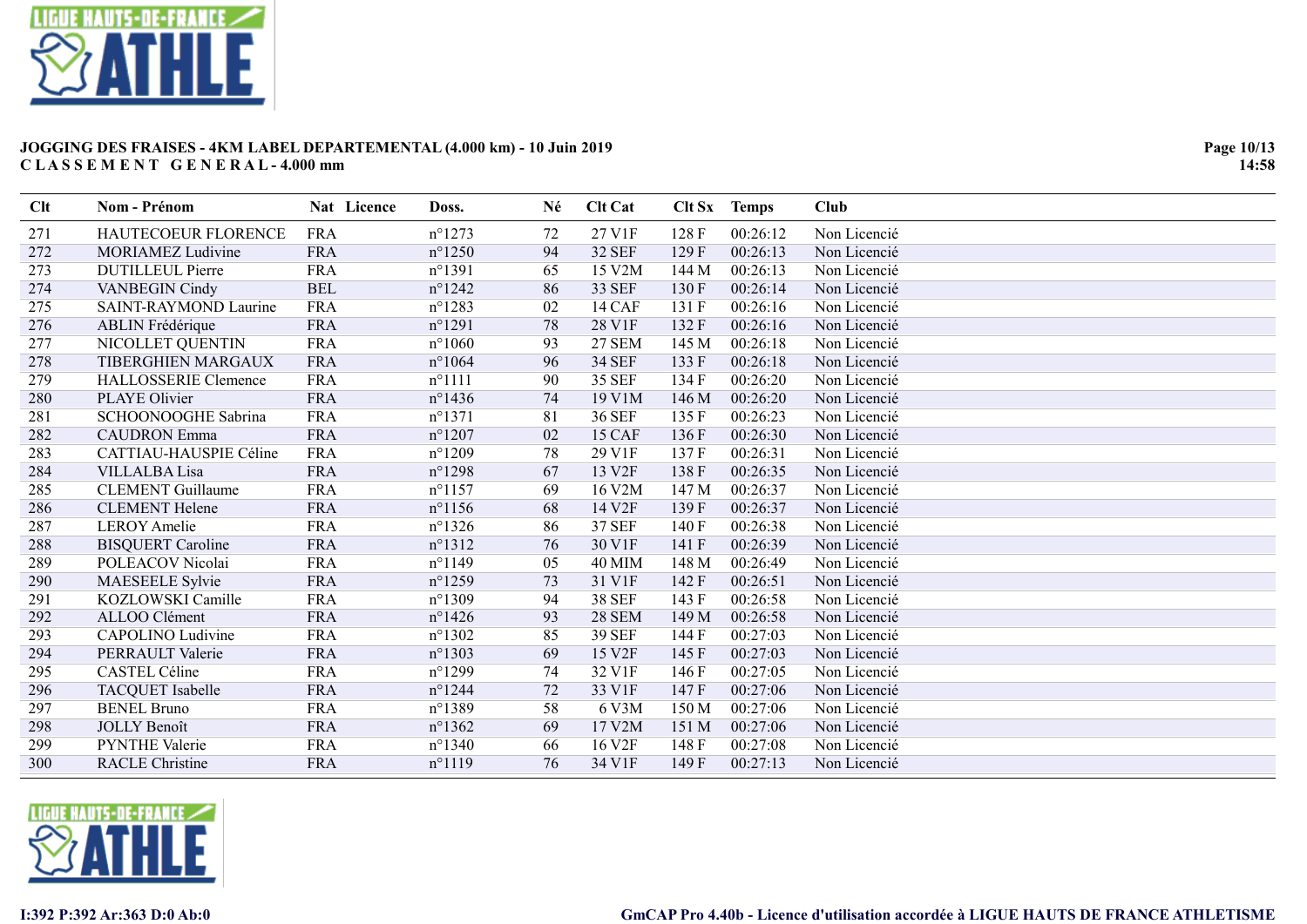

| Clt | Nom - Prénom                | Nat Licence | Doss.            | Né | <b>Clt Cat</b>     | Clt Sx | <b>Temps</b> | Club         |
|-----|-----------------------------|-------------|------------------|----|--------------------|--------|--------------|--------------|
| 271 | HAUTECOEUR FLORENCE         | <b>FRA</b>  | $n^{\circ}1273$  | 72 | 27 V1F             | 128F   | 00:26:12     | Non Licencié |
| 272 | <b>MORIAMEZ Ludivine</b>    | <b>FRA</b>  | $n^{\circ}$ 1250 | 94 | <b>32 SEF</b>      | 129F   | 00:26:13     | Non Licencié |
| 273 | <b>DUTILLEUL Pierre</b>     | <b>FRA</b>  | $n^{\circ}1391$  | 65 | 15 V2M             | 144 M  | 00:26:13     | Non Licencié |
| 274 | <b>VANBEGIN Cindy</b>       | <b>BEL</b>  | $n^{\circ}$ 1242 | 86 | <b>33 SEF</b>      | 130 F  | 00:26:14     | Non Licencié |
| 275 | SAINT-RAYMOND Laurine       | <b>FRA</b>  | $n^{\circ}$ 1283 | 02 | 14 CAF             | 131 F  | 00:26:16     | Non Licencié |
| 276 | <b>ABLIN</b> Frédérique     | <b>FRA</b>  | $n^{\circ}1291$  | 78 | 28 V1F             | 132 F  | 00:26:16     | Non Licencié |
| 277 | NICOLLET QUENTIN            | <b>FRA</b>  | $n^{\circ}1060$  | 93 | <b>27 SEM</b>      | 145 M  | 00:26:18     | Non Licencié |
| 278 | TIBERGHIEN MARGAUX          | <b>FRA</b>  | $n^{\circ}1064$  | 96 | <b>34 SEF</b>      | 133 F  | 00:26:18     | Non Licencié |
| 279 | <b>HALLOSSERIE Clemence</b> | <b>FRA</b>  | $n^{\circ}1111$  | 90 | <b>35 SEF</b>      | 134 F  | 00:26:20     | Non Licencié |
| 280 | PLAYE Olivier               | <b>FRA</b>  | $n^{\circ}$ 1436 | 74 | 19 V1M             | 146 M  | 00:26:20     | Non Licencié |
| 281 | SCHOONOOGHE Sabrina         | <b>FRA</b>  | $n^{\circ}1371$  | 81 | <b>36 SEF</b>      | 135F   | 00:26:23     | Non Licencié |
| 282 | <b>CAUDRON</b> Emma         | <b>FRA</b>  | $n^{\circ}$ 1207 | 02 | 15 CAF             | 136F   | 00:26:30     | Non Licencié |
| 283 | CATTIAU-HAUSPIE Céline      | <b>FRA</b>  | $n^{\circ}1209$  | 78 | 29 V1F             | 137 F  | 00:26:31     | Non Licencié |
| 284 | <b>VILLALBA</b> Lisa        | <b>FRA</b>  | $n^{\circ}$ 1298 | 67 | 13 V <sub>2F</sub> | 138 F  | 00:26:35     | Non Licencié |
| 285 | <b>CLEMENT</b> Guillaume    | <b>FRA</b>  | $n^{\circ}$ 1157 | 69 | 16 V2M             | 147 M  | 00:26:37     | Non Licencié |
| 286 | <b>CLEMENT</b> Helene       | <b>FRA</b>  | $n^{\circ}$ 1156 | 68 | 14 V2F             | 139F   | 00:26:37     | Non Licencié |
| 287 | <b>LEROY Amelie</b>         | <b>FRA</b>  | $n^{\circ}$ 1326 | 86 | <b>37 SEF</b>      | 140 F  | 00:26:38     | Non Licencié |
| 288 | <b>BISQUERT Caroline</b>    | <b>FRA</b>  | $n^{\circ}1312$  | 76 | 30 V1F             | 141 F  | 00:26:39     | Non Licencié |
| 289 | POLEACOV Nicolai            | <b>FRA</b>  | $n^{\circ}$ 1149 | 05 | 40 MIM             | 148 M  | 00:26:49     | Non Licencié |
| 290 | MAESEELE Sylvie             | <b>FRA</b>  | $n^{\circ}$ 1259 | 73 | 31 V1F             | 142 F  | 00:26:51     | Non Licencié |
| 291 | KOZLOWSKI Camille           | <b>FRA</b>  | $n^{\circ}$ 1309 | 94 | <b>38 SEF</b>      | 143 F  | 00:26:58     | Non Licencié |
| 292 | ALLOO Clément               | <b>FRA</b>  | $n^{\circ}$ 1426 | 93 | <b>28 SEM</b>      | 149 M  | 00:26:58     | Non Licencié |
| 293 | CAPOLINO Ludivine           | <b>FRA</b>  | $n^{\circ}$ 1302 | 85 | <b>39 SEF</b>      | 144 F  | 00:27:03     | Non Licencié |
| 294 | PERRAULT Valerie            | <b>FRA</b>  | $n^{\circ}1303$  | 69 | 15 V2F             | 145 F  | 00:27:03     | Non Licencié |
| 295 | CASTEL Céline               | <b>FRA</b>  | $n^{\circ}$ 1299 | 74 | 32 V1F             | 146F   | 00:27:05     | Non Licencié |
| 296 | TACQUET Isabelle            | <b>FRA</b>  | $n^{\circ}$ 1244 | 72 | 33 V1F             | 147 F  | 00:27:06     | Non Licencié |
| 297 | <b>BENEL Bruno</b>          | <b>FRA</b>  | $n^{\circ}$ 1389 | 58 | 6 V3M              | 150 M  | 00:27:06     | Non Licencié |
| 298 | <b>JOLLY Benoît</b>         | <b>FRA</b>  | $n^{\circ}$ 1362 | 69 | 17 V2M             | 151 M  | 00:27:06     | Non Licencié |
| 299 | <b>PYNTHE Valerie</b>       | <b>FRA</b>  | $n^{\circ}$ 1340 | 66 | 16 V <sub>2F</sub> | 148 F  | 00:27:08     | Non Licencié |
| 300 | <b>RACLE Christine</b>      | <b>FRA</b>  | $n^{\circ}1119$  | 76 | 34 V1F             | 149F   | 00:27:13     | Non Licencié |

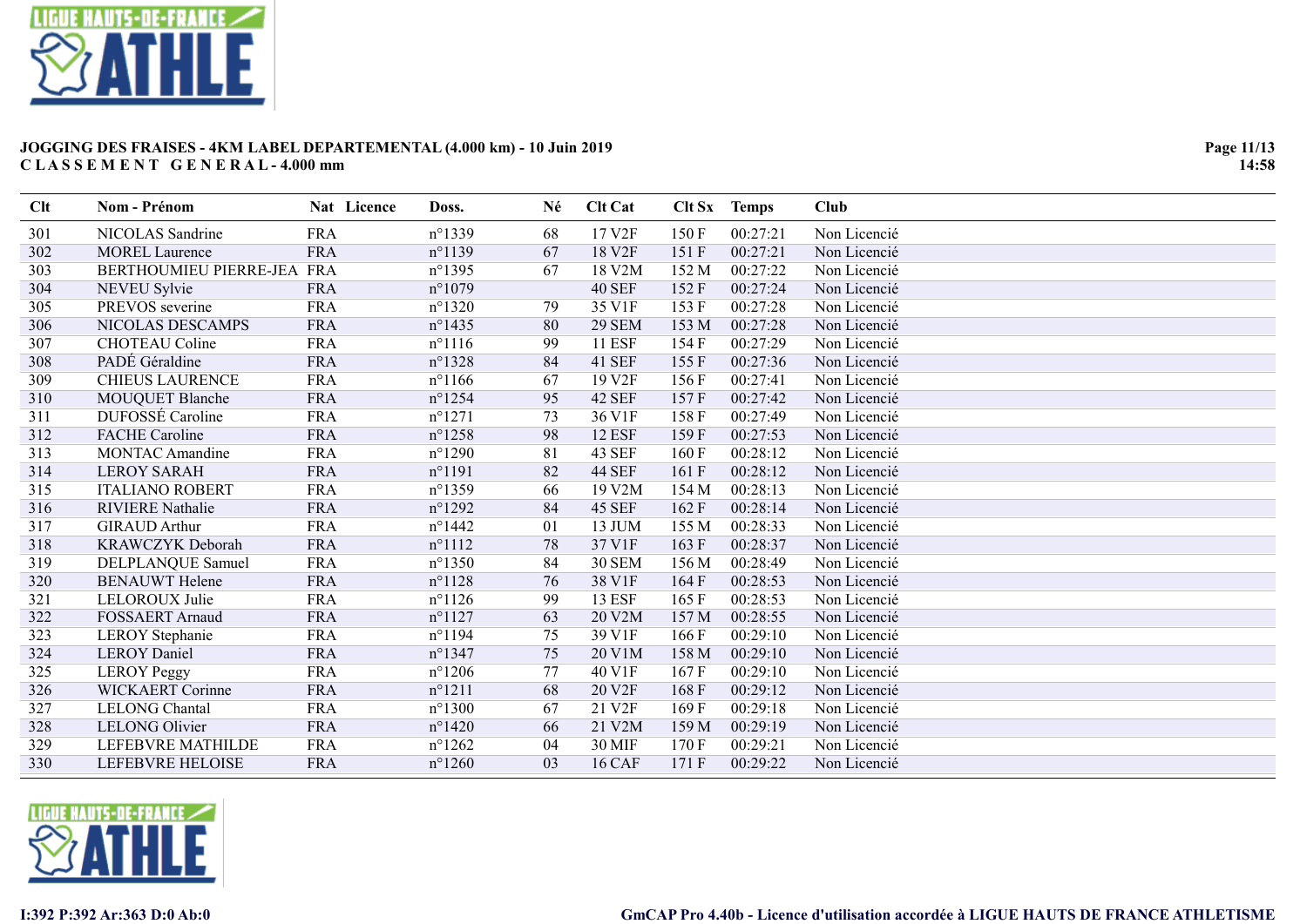

| Clt | Nom - Prénom               | Nat Licence | Doss.            | Né | <b>Clt Cat</b>     | Clt Sx | <b>Temps</b> | <b>Club</b>  |
|-----|----------------------------|-------------|------------------|----|--------------------|--------|--------------|--------------|
| 301 | NICOLAS Sandrine           | <b>FRA</b>  | $n^{\circ}$ 1339 | 68 | 17 V2F             | 150F   | 00:27:21     | Non Licencié |
| 302 | <b>MOREL Laurence</b>      | <b>FRA</b>  | $n^{\circ}1139$  | 67 | 18 V2F             | 151 F  | 00:27:21     | Non Licencié |
| 303 | BERTHOUMIEU PIERRE-JEA FRA |             | $n^{\circ}$ 1395 | 67 | 18 V2M             | 152 M  | 00:27:22     | Non Licencié |
| 304 | NEVEU Sylvie               | <b>FRA</b>  | $n^{\circ}1079$  |    | <b>40 SEF</b>      | 152F   | 00:27:24     | Non Licencié |
| 305 | PREVOS severine            | <b>FRA</b>  | $n^{\circ}$ 1320 | 79 | 35 V1F             | 153F   | 00:27:28     | Non Licencié |
| 306 | NICOLAS DESCAMPS           | <b>FRA</b>  | $n^{\circ}$ 1435 | 80 | <b>29 SEM</b>      | 153 M  | 00:27:28     | Non Licencié |
| 307 | <b>CHOTEAU Coline</b>      | <b>FRA</b>  | $n^{\circ}1116$  | 99 | <b>11 ESF</b>      | 154 F  | 00:27:29     | Non Licencié |
| 308 | PADÉ Géraldine             | <b>FRA</b>  | $n^{\circ}$ 1328 | 84 | <b>41 SEF</b>      | 155F   | 00:27:36     | Non Licencié |
| 309 | <b>CHIEUS LAURENCE</b>     | <b>FRA</b>  | $n^{\circ}1166$  | 67 | 19 V <sub>2F</sub> | 156F   | 00:27:41     | Non Licencié |
| 310 | <b>MOUQUET Blanche</b>     | <b>FRA</b>  | $n^{\circ}$ 1254 | 95 | 42 SEF             | 157F   | 00:27:42     | Non Licencié |
| 311 | DUFOSSÉ Caroline           | <b>FRA</b>  | $n^{\circ}1271$  | 73 | 36 V1F             | 158 F  | 00:27:49     | Non Licencié |
| 312 | <b>FACHE</b> Caroline      | <b>FRA</b>  | $n^{\circ}$ 1258 | 98 | <b>12 ESF</b>      | 159F   | 00:27:53     | Non Licencié |
| 313 | <b>MONTAC Amandine</b>     | <b>FRA</b>  | $n^{\circ}1290$  | 81 | 43 SEF             | 160F   | 00:28:12     | Non Licencié |
| 314 | <b>LEROY SARAH</b>         | <b>FRA</b>  | $n^{\circ}1191$  | 82 | <b>44 SEF</b>      | 161 F  | 00:28:12     | Non Licencié |
| 315 | <b>ITALIANO ROBERT</b>     | <b>FRA</b>  | $n^{\circ}$ 1359 | 66 | 19 V2M             | 154 M  | 00:28:13     | Non Licencié |
| 316 | <b>RIVIERE Nathalie</b>    | <b>FRA</b>  | $n^{\circ}1292$  | 84 | <b>45 SEF</b>      | 162F   | 00:28:14     | Non Licencié |
| 317 | <b>GIRAUD Arthur</b>       | <b>FRA</b>  | $n^{\circ}$ 1442 | 01 | 13 JUM             | 155 M  | 00:28:33     | Non Licencié |
| 318 | KRAWCZYK Deborah           | <b>FRA</b>  | $n^{\circ}1112$  | 78 | 37 V1F             | 163F   | 00:28:37     | Non Licencié |
| 319 | DELPLANQUE Samuel          | <b>FRA</b>  | $n^{\circ}$ 1350 | 84 | <b>30 SEM</b>      | 156 M  | 00:28:49     | Non Licencié |
| 320 | <b>BENAUWT</b> Helene      | <b>FRA</b>  | $n^{\circ}1128$  | 76 | 38 V1F             | 164F   | 00:28:53     | Non Licencié |
| 321 | LELOROUX Julie             | <b>FRA</b>  | $n^{\circ}1126$  | 99 | <b>13 ESF</b>      | 165F   | 00:28:53     | Non Licencié |
| 322 | <b>FOSSAERT Arnaud</b>     | <b>FRA</b>  | $n^{\circ}1127$  | 63 | 20 V2M             | 157 M  | 00:28:55     | Non Licencié |
| 323 | <b>LEROY</b> Stephanie     | <b>FRA</b>  | $n^{\circ}$ 1194 | 75 | 39 V1F             | 166F   | 00:29:10     | Non Licencié |
| 324 | <b>LEROY Daniel</b>        | <b>FRA</b>  | $n^{\circ}$ 1347 | 75 | 20 V1M             | 158 M  | 00:29:10     | Non Licencié |
| 325 | <b>LEROY Peggy</b>         | <b>FRA</b>  | $n^{\circ}1206$  | 77 | 40 V1F             | 167F   | 00:29:10     | Non Licencié |
| 326 | <b>WICKAERT</b> Corinne    | <b>FRA</b>  | $n^{\circ}1211$  | 68 | 20 V <sub>2F</sub> | 168F   | 00:29:12     | Non Licencié |
| 327 | <b>LELONG</b> Chantal      | <b>FRA</b>  | $n^{\circ}1300$  | 67 | 21 V2F             | 169F   | 00:29:18     | Non Licencié |
| 328 | <b>LELONG Olivier</b>      | <b>FRA</b>  | $n^{\circ}$ 1420 | 66 | 21 V2M             | 159 M  | 00:29:19     | Non Licencié |
| 329 | LEFEBVRE MATHILDE          | <b>FRA</b>  | $n^{\circ}$ 1262 | 04 | 30 MIF             | 170F   | 00:29:21     | Non Licencié |
| 330 | LEFEBVRE HELOISE           | <b>FRA</b>  | $n^{\circ}1260$  | 03 | <b>16 CAF</b>      | 171 F  | 00:29:22     | Non Licencié |

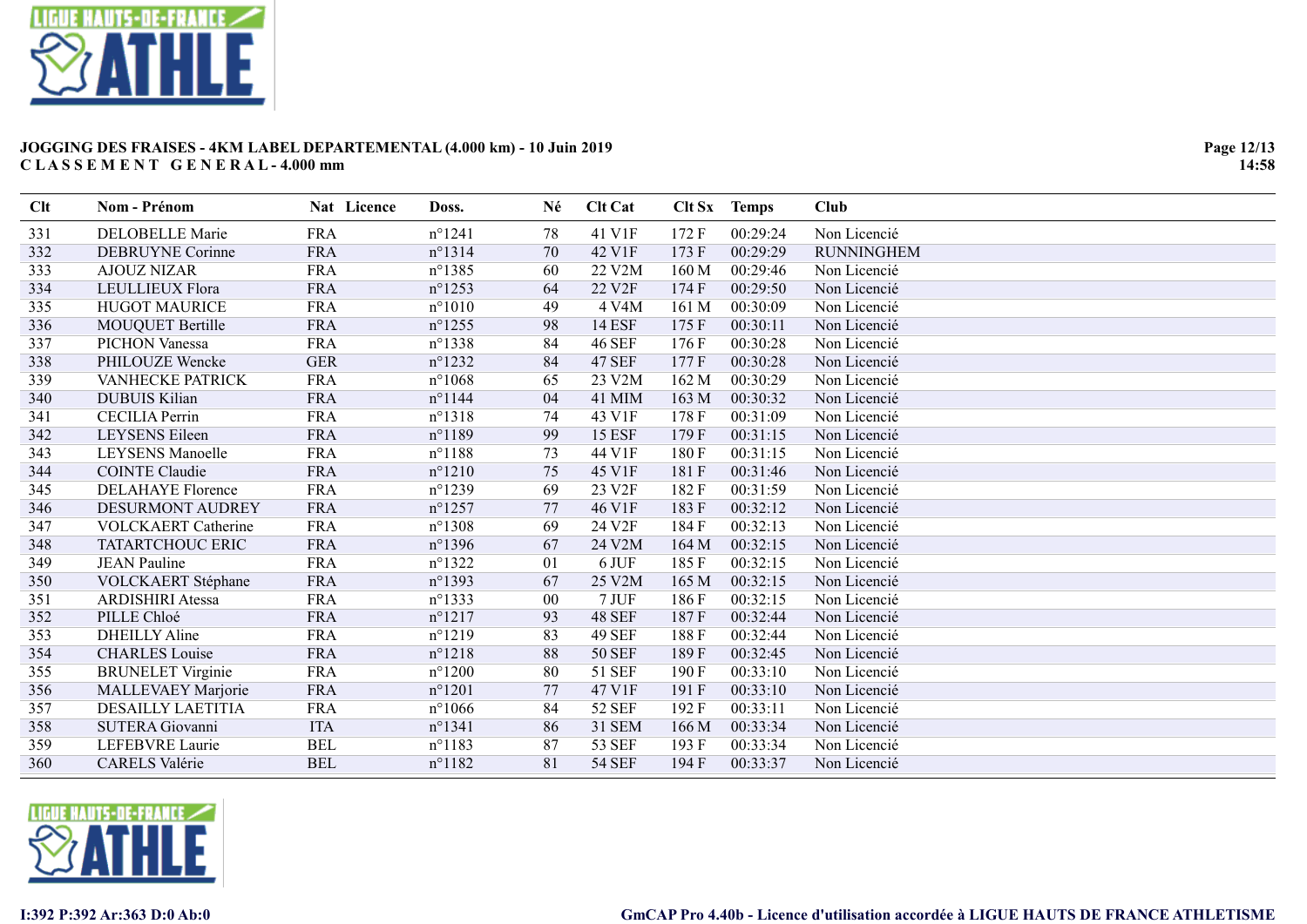

| Clt | Nom - Prénom               | Nat Licence | Doss.            | Né     | <b>Clt Cat</b> | Clt Sx | <b>Temps</b> | Club              |
|-----|----------------------------|-------------|------------------|--------|----------------|--------|--------------|-------------------|
| 331 | <b>DELOBELLE Marie</b>     | <b>FRA</b>  | $n^{\circ}1241$  | 78     | 41 V1F         | 172 F  | 00:29:24     | Non Licencié      |
| 332 | <b>DEBRUYNE Corinne</b>    | <b>FRA</b>  | $n^{\circ}1314$  | 70     | 42 V1F         | 173F   | 00:29:29     | <b>RUNNINGHEM</b> |
| 333 | <b>AJOUZ NIZAR</b>         | <b>FRA</b>  | $n^{\circ}$ 1385 | 60     | 22 V2M         | 160 M  | 00:29:46     | Non Licencié      |
| 334 | LEULLIEUX Flora            | <b>FRA</b>  | $n^{\circ}$ 1253 | 64     | 22 V2F         | 174 F  | 00:29:50     | Non Licencié      |
| 335 | <b>HUGOT MAURICE</b>       | <b>FRA</b>  | $n^{\circ}1010$  | 49     | 4 V4M          | 161 M  | 00:30:09     | Non Licencié      |
| 336 | <b>MOUQUET Bertille</b>    | <b>FRA</b>  | $n^{\circ}$ 1255 | 98     | <b>14 ESF</b>  | 175F   | 00:30:11     | Non Licencié      |
| 337 | <b>PICHON Vanessa</b>      | <b>FRA</b>  | $n^{\circ}$ 1338 | 84     | <b>46 SEF</b>  | 176F   | 00:30:28     | Non Licencié      |
| 338 | PHILOUZE Wencke            | <b>GER</b>  | $n^{\circ}1232$  | 84     | <b>47 SEF</b>  | 177 F  | 00:30:28     | Non Licencié      |
| 339 | <b>VANHECKE PATRICK</b>    | <b>FRA</b>  | $n^{\circ}1068$  | 65     | 23 V2M         | 162 M  | 00:30:29     | Non Licencié      |
| 340 | <b>DUBUIS Kilian</b>       | <b>FRA</b>  | $n^{\circ}$ 1144 | 04     | 41 MIM         | 163 M  | 00:30:32     | Non Licencié      |
| 341 | <b>CECILIA Perrin</b>      | <b>FRA</b>  | $n^{\circ}1318$  | 74     | 43 V1F         | 178F   | 00:31:09     | Non Licencié      |
| 342 | <b>LEYSENS</b> Eileen      | <b>FRA</b>  | $n^{\circ}1189$  | 99     | <b>15 ESF</b>  | 179F   | 00:31:15     | Non Licencié      |
| 343 | <b>LEYSENS Manoelle</b>    | <b>FRA</b>  | $n^{\circ}1188$  | 73     | 44 V1F         | 180F   | 00:31:15     | Non Licencié      |
| 344 | <b>COINTE Claudie</b>      | <b>FRA</b>  | $n^{\circ}1210$  | 75     | 45 V1F         | 181 F  | 00:31:46     | Non Licencié      |
| 345 | <b>DELAHAYE Florence</b>   | <b>FRA</b>  | $n^{\circ}$ 1239 | 69     | 23 V2F         | 182F   | 00:31:59     | Non Licencié      |
| 346 | DESURMONT AUDREY           | <b>FRA</b>  | $n^{\circ}$ 1257 | 77     | 46 V1F         | 183 F  | 00:32:12     | Non Licencié      |
| 347 | <b>VOLCKAERT</b> Catherine | <b>FRA</b>  | $n^{\circ}$ 1308 | 69     | 24 V2F         | 184 F  | 00:32:13     | Non Licencié      |
| 348 | TATARTCHOUC ERIC           | <b>FRA</b>  | $n^{\circ}$ 1396 | 67     | 24 V2M         | 164 M  | 00:32:15     | Non Licencié      |
| 349 | <b>JEAN Pauline</b>        | <b>FRA</b>  | $n^{\circ}$ 1322 | 01     | 6 JUF          | 185F   | 00:32:15     | Non Licencié      |
| 350 | VOLCKAERT Stéphane         | <b>FRA</b>  | $n^{\circ}$ 1393 | 67     | 25 V2M         | 165 M  | 00:32:15     | Non Licencié      |
| 351 | <b>ARDISHIRI</b> Atessa    | <b>FRA</b>  | $n^{\circ}$ 1333 | $00\,$ | 7 JUF          | 186F   | 00:32:15     | Non Licencié      |
| 352 | PILLE Chloé                | <b>FRA</b>  | $n^{\circ}1217$  | 93     | <b>48 SEF</b>  | 187F   | 00:32:44     | Non Licencié      |
| 353 | <b>DHEILLY Aline</b>       | <b>FRA</b>  | $n^{\circ}1219$  | 83     | 49 SEF         | 188F   | 00:32:44     | Non Licencié      |
| 354 | <b>CHARLES</b> Louise      | <b>FRA</b>  | $n^{\circ}1218$  | 88     | <b>50 SEF</b>  | 189 F  | 00:32:45     | Non Licencié      |
| 355 | <b>BRUNELET Virginie</b>   | <b>FRA</b>  | $n^{\circ}1200$  | 80     | <b>51 SEF</b>  | 190F   | 00:33:10     | Non Licencié      |
| 356 | MALLEVAEY Marjorie         | <b>FRA</b>  | $n^{\circ}1201$  | 77     | 47 V1F         | 191 F  | 00:33:10     | Non Licencié      |
| 357 | DESAILLY LAETITIA          | <b>FRA</b>  | $n^{\circ}1066$  | 84     | <b>52 SEF</b>  | 192F   | 00:33:11     | Non Licencié      |
| 358 | SUTERA Giovanni            | <b>ITA</b>  | $n^{\circ}1341$  | 86     | <b>31 SEM</b>  | 166 M  | 00:33:34     | Non Licencié      |
| 359 | LEFEBVRE Laurie            | <b>BEL</b>  | n°1183           | 87     | 53 SEF         | 193 F  | 00:33:34     | Non Licencié      |
| 360 | <b>CARELS Valérie</b>      | <b>BEL</b>  | $n^{\circ}1182$  | 81     | <b>54 SEF</b>  | 194F   | 00:33:37     | Non Licencié      |